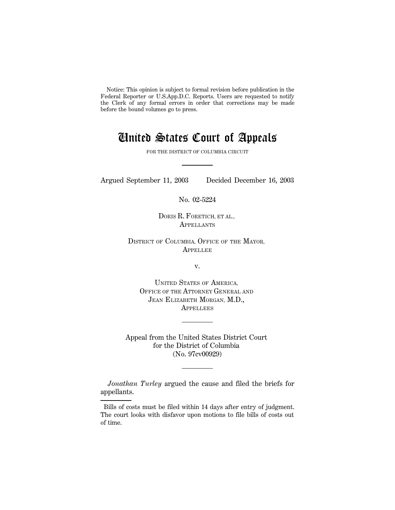Notice: This opinion is subject to formal revision before publication in the Federal Reporter or U.S.App.D.C. Reports. Users are requested to notify the Clerk of any formal errors in order that corrections may be made before the bound volumes go to press.

# United States Court of Appeals

FOR THE DISTRICT OF COLUMBIA CIRCUIT

Argued September 11, 2003 Decided December 16, 2003

No. 02-5224

DORIS R. FORETICH, ET AL., **APPELLANTS** 

DISTRICT OF COLUMBIA, OFFICE OF THE MAYOR, **APPELLEE** 

v.

UNITED STATES OF AMERICA, OFFICE OF THE ATTORNEY GENERAL AND JEAN ELIZABETH MORGAN, M.D., **APPELLEES** 

Appeal from the United States District Court for the District of Columbia (No. 97cv00929)

*Jonathan Turley* argued the cause and filed the briefs for appellants.

Bills of costs must be filed within 14 days after entry of judgment. The court looks with disfavor upon motions to file bills of costs out of time.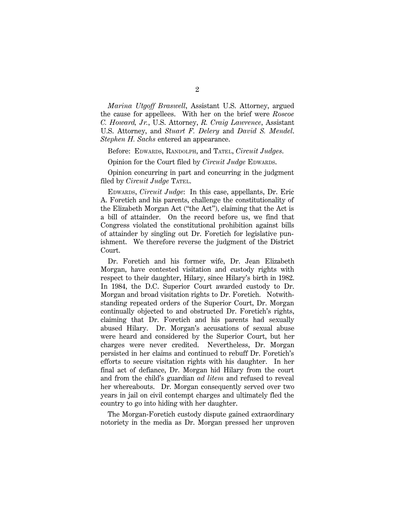*Marina Utgoff Braswell*, Assistant U.S. Attorney, argued the cause for appellees. With her on the brief were *Roscoe C. Howard, Jr.*, U.S. Attorney, *R. Craig Lawrence*, Assistant U.S. Attorney, and *Stuart F. Delery* and *David S. Mendel*. *Stephen H. Sachs* entered an appearance.

Before: EDWARDS, RANDOLPH, and TATEL, *Circuit Judges*.

Opinion for the Court filed by *Circuit Judge* EDWARDS.

Opinion concurring in part and concurring in the judgment filed by *Circuit Judge* TATEL.

EDWARDS, *Circuit Judge*: In this case, appellants, Dr. Eric A. Foretich and his parents, challenge the constitutionality of the Elizabeth Morgan Act (''the Act''), claiming that the Act is a bill of attainder. On the record before us, we find that Congress violated the constitutional prohibition against bills of attainder by singling out Dr. Foretich for legislative punishment. We therefore reverse the judgment of the District Court.

Dr. Foretich and his former wife, Dr. Jean Elizabeth Morgan, have contested visitation and custody rights with respect to their daughter, Hilary, since Hilary's birth in 1982. In 1984, the D.C. Superior Court awarded custody to Dr. Morgan and broad visitation rights to Dr. Foretich. Notwithstanding repeated orders of the Superior Court, Dr. Morgan continually objected to and obstructed Dr. Foretich's rights, claiming that Dr. Foretich and his parents had sexually abused Hilary. Dr. Morgan's accusations of sexual abuse were heard and considered by the Superior Court, but her charges were never credited. Nevertheless, Dr. Morgan persisted in her claims and continued to rebuff Dr. Foretich's efforts to secure visitation rights with his daughter. In her final act of defiance, Dr. Morgan hid Hilary from the court and from the child's guardian *ad litem* and refused to reveal her whereabouts. Dr. Morgan consequently served over two years in jail on civil contempt charges and ultimately fled the country to go into hiding with her daughter.

The Morgan-Foretich custody dispute gained extraordinary notoriety in the media as Dr. Morgan pressed her unproven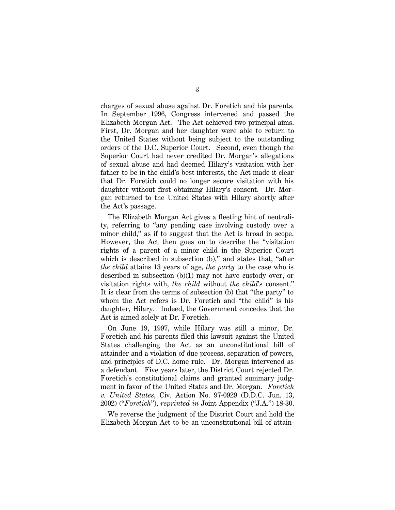charges of sexual abuse against Dr. Foretich and his parents. In September 1996, Congress intervened and passed the Elizabeth Morgan Act. The Act achieved two principal aims. First, Dr. Morgan and her daughter were able to return to the United States without being subject to the outstanding orders of the D.C. Superior Court. Second, even though the Superior Court had never credited Dr. Morgan's allegations of sexual abuse and had deemed Hilary's visitation with her father to be in the child's best interests, the Act made it clear that Dr. Foretich could no longer secure visitation with his daughter without first obtaining Hilary's consent. Dr. Morgan returned to the United States with Hilary shortly after the Act's passage.

The Elizabeth Morgan Act gives a fleeting hint of neutrality, referring to ''any pending case involving custody over a minor child," as if to suggest that the Act is broad in scope. However, the Act then goes on to describe the ''visitation rights of a parent of a minor child in the Superior Court which is described in subsection (b)," and states that, "after *the child* attains 13 years of age, *the party* to the case who is described in subsection (b)(1) may not have custody over, or visitation rights with, *the child* without *the child*'s consent.'' It is clear from the terms of subsection (b) that ''the party'' to whom the Act refers is Dr. Foretich and ''the child'' is his daughter, Hilary. Indeed, the Government concedes that the Act is aimed solely at Dr. Foretich.

On June 19, 1997, while Hilary was still a minor, Dr. Foretich and his parents filed this lawsuit against the United States challenging the Act as an unconstitutional bill of attainder and a violation of due process, separation of powers, and principles of D.C. home rule. Dr. Morgan intervened as a defendant. Five years later, the District Court rejected Dr. Foretich's constitutional claims and granted summary judgment in favor of the United States and Dr. Morgan. *Foretich v. United States*, Civ. Action No. 97-0929 (D.D.C. Jun. 13, 2002) (''*Foretich*''), *reprinted in* Joint Appendix (''J.A.'') 18-30.

We reverse the judgment of the District Court and hold the Elizabeth Morgan Act to be an unconstitutional bill of attain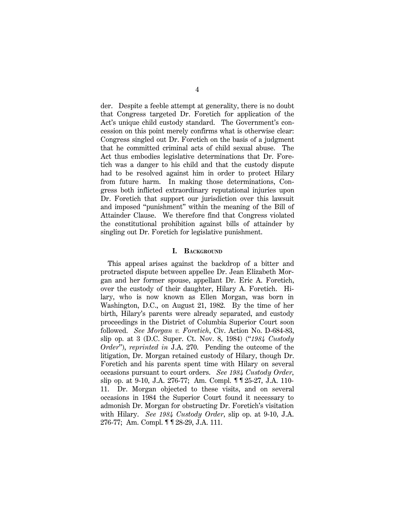der. Despite a feeble attempt at generality, there is no doubt that Congress targeted Dr. Foretich for application of the Act's unique child custody standard. The Government's concession on this point merely confirms what is otherwise clear: Congress singled out Dr. Foretich on the basis of a judgment that he committed criminal acts of child sexual abuse. The Act thus embodies legislative determinations that Dr. Foretich was a danger to his child and that the custody dispute had to be resolved against him in order to protect Hilary from future harm. In making those determinations, Congress both inflicted extraordinary reputational injuries upon Dr. Foretich that support our jurisdiction over this lawsuit and imposed ''punishment'' within the meaning of the Bill of Attainder Clause. We therefore find that Congress violated the constitutional prohibition against bills of attainder by singling out Dr. Foretich for legislative punishment.

## **I. BACKGROUND**

This appeal arises against the backdrop of a bitter and protracted dispute between appellee Dr. Jean Elizabeth Morgan and her former spouse, appellant Dr. Eric A. Foretich, over the custody of their daughter, Hilary A. Foretich. Hilary, who is now known as Ellen Morgan, was born in Washington, D.C., on August 21, 1982. By the time of her birth, Hilary's parents were already separated, and custody proceedings in the District of Columbia Superior Court soon followed. *See Morgan v. Foretich*, Civ. Action No. D-684-83, slip op. at 3 (D.C. Super. Ct. Nov. 8, 1984) (''*1984 Custody Order*''), *reprinted in* J.A. 270. Pending the outcome of the litigation, Dr. Morgan retained custody of Hilary, though Dr. Foretich and his parents spent time with Hilary on several occasions pursuant to court orders. *See 1984 Custody Order*, slip op. at 9-10, J.A. 276-77; Am. Compl. ¶ ¶ 25-27, J.A. 110- 11. Dr. Morgan objected to these visits, and on several occasions in 1984 the Superior Court found it necessary to admonish Dr. Morgan for obstructing Dr. Foretich's visitation with Hilary. *See 1984 Custody Order*, slip op. at 9-10, J.A. 276-77; Am. Compl. ¶ ¶ 28-29, J.A. 111.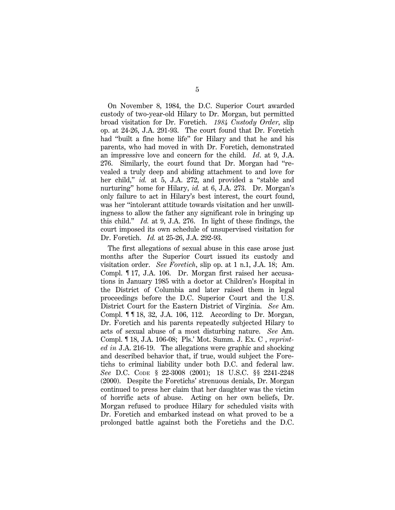On November 8, 1984, the D.C. Superior Court awarded custody of two-year-old Hilary to Dr. Morgan, but permitted broad visitation for Dr. Foretich. *1984 Custody Order*, slip op. at 24-26, J.A. 291-93. The court found that Dr. Foretich had ''built a fine home life'' for Hilary and that he and his parents, who had moved in with Dr. Foretich, demonstrated an impressive love and concern for the child. *Id*. at 9, J.A. 276. Similarly, the court found that Dr. Morgan had ''revealed a truly deep and abiding attachment to and love for her child," *id.* at 5, J.A. 272, and provided a "stable and nurturing'' home for Hilary, *id.* at 6, J.A. 273. Dr. Morgan's only failure to act in Hilary's best interest, the court found, was her ''intolerant attitude towards visitation and her unwillingness to allow the father any significant role in bringing up this child.'' *Id.* at 9, J.A. 276. In light of these findings, the court imposed its own schedule of unsupervised visitation for Dr. Foretich. *Id.* at 25-26, J.A. 292-93.

The first allegations of sexual abuse in this case arose just months after the Superior Court issued its custody and visitation order. *See Foretich*, slip op. at 1 n.1, J.A. 18; Am. Compl. ¶ 17, J.A. 106. Dr. Morgan first raised her accusations in January 1985 with a doctor at Children's Hospital in the District of Columbia and later raised them in legal proceedings before the D.C. Superior Court and the U.S. District Court for the Eastern District of Virginia. *See* Am. Compl. ¶ ¶ 18, 32, J.A. 106, 112. According to Dr. Morgan, Dr. Foretich and his parents repeatedly subjected Hilary to acts of sexual abuse of a most disturbing nature. *See* Am. Compl. ¶ 18, J.A. 106-08; Pls.' Mot. Summ. J. Ex. C , *reprinted in* J.A. 216-19. The allegations were graphic and shocking and described behavior that, if true, would subject the Foretichs to criminal liability under both D.C. and federal law. *See* D.C. CODE § 22-3008 (2001); 18 U.S.C. §§ 2241-2248 (2000). Despite the Foretichs' strenuous denials, Dr. Morgan continued to press her claim that her daughter was the victim of horrific acts of abuse. Acting on her own beliefs, Dr. Morgan refused to produce Hilary for scheduled visits with Dr. Foretich and embarked instead on what proved to be a prolonged battle against both the Foretichs and the D.C.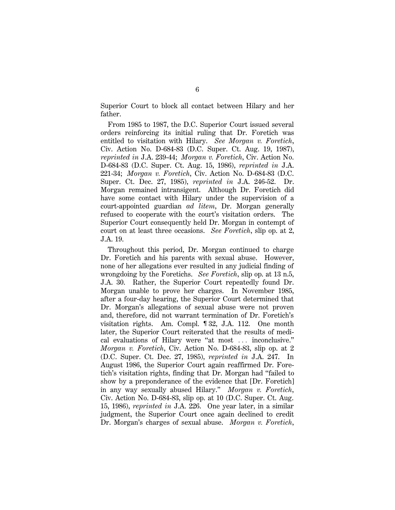Superior Court to block all contact between Hilary and her father.

From 1985 to 1987, the D.C. Superior Court issued several orders reinforcing its initial ruling that Dr. Foretich was entitled to visitation with Hilary. *See Morgan v. Foretich*, Civ. Action No. D-684-83 (D.C. Super. Ct. Aug. 19, 1987), *reprinted in* J.A. 239-44; *Morgan v. Foretich*, Civ. Action No. D-684-83 (D.C. Super. Ct. Aug. 15, 1986), *reprinted in* J.A. 221-34; *Morgan v. Foretich*, Civ. Action No. D-684-83 (D.C. Super. Ct. Dec. 27, 1985), *reprinted in* J.A. 246-52. Dr. Morgan remained intransigent. Although Dr. Foretich did have some contact with Hilary under the supervision of a court-appointed guardian *ad litem*, Dr. Morgan generally refused to cooperate with the court's visitation orders. The Superior Court consequently held Dr. Morgan in contempt of court on at least three occasions. *See Foretich*, slip op. at 2, J.A. 19.

Throughout this period, Dr. Morgan continued to charge Dr. Foretich and his parents with sexual abuse. However, none of her allegations ever resulted in any judicial finding of wrongdoing by the Foretichs. *See Foretich*, slip op. at 13 n.5, J.A. 30. Rather, the Superior Court repeatedly found Dr. Morgan unable to prove her charges. In November 1985, after a four-day hearing, the Superior Court determined that Dr. Morgan's allegations of sexual abuse were not proven and, therefore, did not warrant termination of Dr. Foretich's visitation rights. Am. Compl. ¶ 32, J.A. 112. One month later, the Superior Court reiterated that the results of medical evaluations of Hilary were "at most ... inconclusive." *Morgan v. Foretich*, Civ. Action No. D-684-83, slip op. at 2 (D.C. Super. Ct. Dec. 27, 1985), *reprinted in* J.A. 247. In August 1986, the Superior Court again reaffirmed Dr. Foretich's visitation rights, finding that Dr. Morgan had ''failed to show by a preponderance of the evidence that [Dr. Foretich] in any way sexually abused Hilary.'' *Morgan v. Foretich*, Civ. Action No. D-684-83, slip op. at 10 (D.C. Super. Ct. Aug. 15, 1986), *reprinted in* J.A. 226. One year later, in a similar judgment, the Superior Court once again declined to credit Dr. Morgan's charges of sexual abuse. *Morgan v. Foretich*,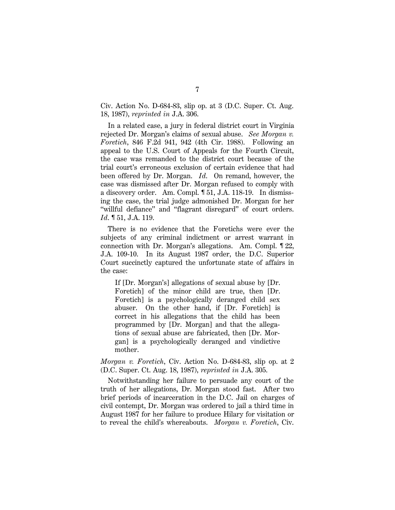Civ. Action No. D-684-83, slip op. at 3 (D.C. Super. Ct. Aug. 18, 1987), *reprinted in* J.A. 306.

In a related case, a jury in federal district court in Virginia rejected Dr. Morgan's claims of sexual abuse. *See Morgan v. Foretich*, 846 F.2d 941, 942 (4th Cir. 1988). Following an appeal to the U.S. Court of Appeals for the Fourth Circuit, the case was remanded to the district court because of the trial court's erroneous exclusion of certain evidence that had been offered by Dr. Morgan. *Id*. On remand, however, the case was dismissed after Dr. Morgan refused to comply with a discovery order. Am. Compl. ¶ 51, J.A. 118-19. In dismissing the case, the trial judge admonished Dr. Morgan for her ''willful defiance'' and ''flagrant disregard'' of court orders. *Id*. ¶ 51, J.A. 119.

There is no evidence that the Foretichs were ever the subjects of any criminal indictment or arrest warrant in connection with Dr. Morgan's allegations. Am. Compl. ¶ 22, J.A. 109-10. In its August 1987 order, the D.C. Superior Court succinctly captured the unfortunate state of affairs in the case:

If [Dr. Morgan's] allegations of sexual abuse by [Dr. Foretich] of the minor child are true, then [Dr. Foretich] is a psychologically deranged child sex abuser. On the other hand, if [Dr. Foretich] is correct in his allegations that the child has been programmed by [Dr. Morgan] and that the allegations of sexual abuse are fabricated, then [Dr. Morgan] is a psychologically deranged and vindictive mother.

*Morgan v. Foretich*, Civ. Action No. D-684-83, slip op. at 2 (D.C. Super. Ct. Aug. 18, 1987), *reprinted in* J.A. 305.

Notwithstanding her failure to persuade any court of the truth of her allegations, Dr. Morgan stood fast. After two brief periods of incarceration in the D.C. Jail on charges of civil contempt, Dr. Morgan was ordered to jail a third time in August 1987 for her failure to produce Hilary for visitation or to reveal the child's whereabouts. *Morgan v. Foretich*, Civ.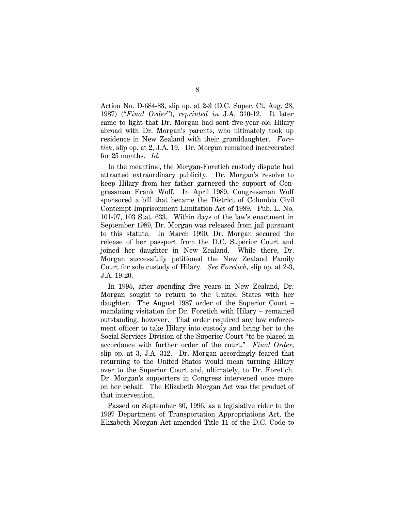Action No. D-684-83, slip op. at 2-3 (D.C. Super. Ct. Aug. 28, 1987) (''*Final Order*''), *reprinted in* J.A. 310-12. It later came to light that Dr. Morgan had sent five-year-old Hilary abroad with Dr. Morgan's parents, who ultimately took up residence in New Zealand with their granddaughter. *Foretich*, slip op. at 2, J.A. 19. Dr. Morgan remained incarcerated for 25 months. *Id.*

In the meantime, the Morgan-Foretich custody dispute had attracted extraordinary publicity. Dr. Morgan's resolve to keep Hilary from her father garnered the support of Congressman Frank Wolf. In April 1989, Congressman Wolf sponsored a bill that became the District of Columbia Civil Contempt Imprisonment Limitation Act of 1989. Pub. L. No. 101-97, 103 Stat. 633. Within days of the law's enactment in September 1989, Dr. Morgan was released from jail pursuant to this statute. In March 1990, Dr. Morgan secured the release of her passport from the D.C. Superior Court and joined her daughter in New Zealand. While there, Dr. Morgan successfully petitioned the New Zealand Family Court for sole custody of Hilary. *See Foretich*, slip op. at 2-3, J.A. 19-20.

In 1995, after spending five years in New Zealand, Dr. Morgan sought to return to the United States with her daughter. The August 1987 order of the Superior Court – mandating visitation for Dr. Foretich with Hilary – remained outstanding, however. That order required any law enforcement officer to take Hilary into custody and bring her to the Social Services Division of the Superior Court ''to be placed in accordance with further order of the court.'' *Final Order*, slip op. at 3, J.A. 312. Dr. Morgan accordingly feared that returning to the United States would mean turning Hilary over to the Superior Court and, ultimately, to Dr. Foretich. Dr. Morgan's supporters in Congress intervened once more on her behalf. The Elizabeth Morgan Act was the product of that intervention.

Passed on September 30, 1996, as a legislative rider to the 1997 Department of Transportation Appropriations Act, the Elizabeth Morgan Act amended Title 11 of the D.C. Code to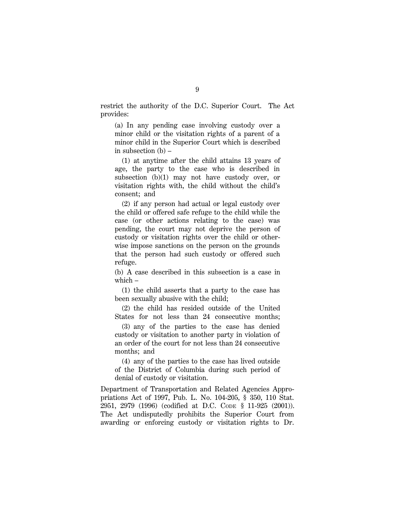restrict the authority of the D.C. Superior Court. The Act provides:

(a) In any pending case involving custody over a minor child or the visitation rights of a parent of a minor child in the Superior Court which is described in subsection (b) –

(1) at anytime after the child attains 13 years of age, the party to the case who is described in subsection (b)(1) may not have custody over, or visitation rights with, the child without the child's consent; and

(2) if any person had actual or legal custody over the child or offered safe refuge to the child while the case (or other actions relating to the case) was pending, the court may not deprive the person of custody or visitation rights over the child or otherwise impose sanctions on the person on the grounds that the person had such custody or offered such refuge.

(b) A case described in this subsection is a case in which –

(1) the child asserts that a party to the case has been sexually abusive with the child;

(2) the child has resided outside of the United States for not less than 24 consecutive months;

(3) any of the parties to the case has denied custody or visitation to another party in violation of an order of the court for not less than 24 consecutive months; and

(4) any of the parties to the case has lived outside of the District of Columbia during such period of denial of custody or visitation.

Department of Transportation and Related Agencies Appropriations Act of 1997, Pub. L. No. 104-205, § 350, 110 Stat. 2951, 2979 (1996) (codified at D.C. CODE § 11-925 (2001)). The Act undisputedly prohibits the Superior Court from awarding or enforcing custody or visitation rights to Dr.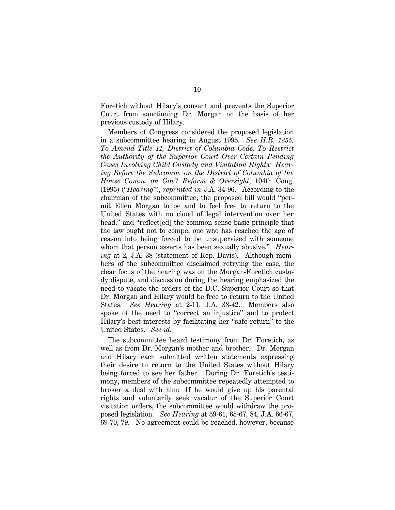Foretich without Hilary's consent and prevents the Superior Court from sanctioning Dr. Morgan on the basis of her previous custody of Hilary.

Members of Congress considered the proposed legislation in a subcommittee hearing in August 1995. *See H.R. 1855, To Amend Title 11, District of Columbia Code, To Restrict the Authority of the Superior Court Over Certain Pending Cases Involving Child Custody and Visitation Rights: Hearing Before the Subcomm. on the District of Columbia of the House Comm. on Gov't Reform & Oversight*, 104th Cong. (1995) (''*Hearing*''), *reprinted in* J.A. 34-96. According to the chairman of the subcommittee, the proposed bill would ''permit Ellen Morgan to be and to feel free to return to the United States with no cloud of legal intervention over her head," and "reflect [ed] the common sense basic principle that the law ought not to compel one who has reached the age of reason into being forced to be unsupervised with someone whom that person asserts has been sexually abusive.'' *Hearing* at 2, J.A. 38 (statement of Rep. Davis). Although members of the subcommittee disclaimed retrying the case, the clear focus of the hearing was on the Morgan-Foretich custody dispute, and discussion during the hearing emphasized the need to vacate the orders of the D.C. Superior Court so that Dr. Morgan and Hilary would be free to return to the United States. *See Hearing* at 2-11, J.A. 38-42. Members also spoke of the need to ''correct an injustice'' and to protect Hilary's best interests by facilitating her ''safe return'' to the United States. *See id*.

The subcommittee heard testimony from Dr. Foretich, as well as from Dr. Morgan's mother and brother. Dr. Morgan and Hilary each submitted written statements expressing their desire to return to the United States without Hilary being forced to see her father. During Dr. Foretich's testimony, members of the subcommittee repeatedly attempted to broker a deal with him: If he would give up his parental rights and voluntarily seek vacatur of the Superior Court visitation orders, the subcommittee would withdraw the proposed legislation. *See Hearing* at 59-61, 65-67, 84, J.A. 66-67, 69-70, 79. No agreement could be reached, however, because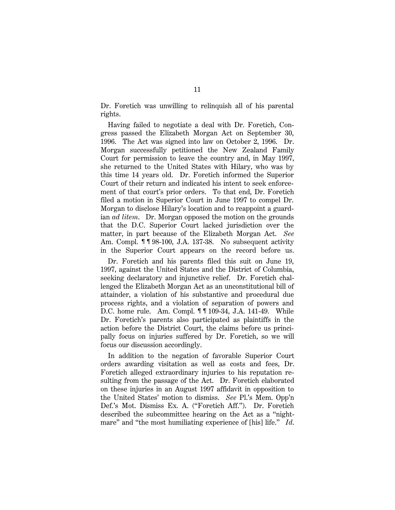Dr. Foretich was unwilling to relinquish all of his parental rights.

Having failed to negotiate a deal with Dr. Foretich, Congress passed the Elizabeth Morgan Act on September 30, 1996. The Act was signed into law on October 2, 1996. Dr. Morgan successfully petitioned the New Zealand Family Court for permission to leave the country and, in May 1997, she returned to the United States with Hilary, who was by this time 14 years old. Dr. Foretich informed the Superior Court of their return and indicated his intent to seek enforcement of that court's prior orders. To that end, Dr. Foretich filed a motion in Superior Court in June 1997 to compel Dr. Morgan to disclose Hilary's location and to reappoint a guardian *ad litem*. Dr. Morgan opposed the motion on the grounds that the D.C. Superior Court lacked jurisdiction over the matter, in part because of the Elizabeth Morgan Act. *See* Am. Compl. **11**98-100, J.A. 137-38. No subsequent activity in the Superior Court appears on the record before us.

Dr. Foretich and his parents filed this suit on June 19, 1997, against the United States and the District of Columbia, seeking declaratory and injunctive relief. Dr. Foretich challenged the Elizabeth Morgan Act as an unconstitutional bill of attainder, a violation of his substantive and procedural due process rights, and a violation of separation of powers and D.C. home rule. Am. Compl. ¶ ¶ 109-34, J.A. 141-49. While Dr. Foretich's parents also participated as plaintiffs in the action before the District Court, the claims before us principally focus on injuries suffered by Dr. Foretich, so we will focus our discussion accordingly.

In addition to the negation of favorable Superior Court orders awarding visitation as well as costs and fees, Dr. Foretich alleged extraordinary injuries to his reputation resulting from the passage of the Act. Dr. Foretich elaborated on these injuries in an August 1997 affidavit in opposition to the United States' motion to dismiss. *See* Pl.'s Mem. Opp'n Def.'s Mot. Dismiss Ex. A. (''Foretich Aff.''). Dr. Foretich described the subcommittee hearing on the Act as a ''nightmare'' and ''the most humiliating experience of [his] life.'' *Id*.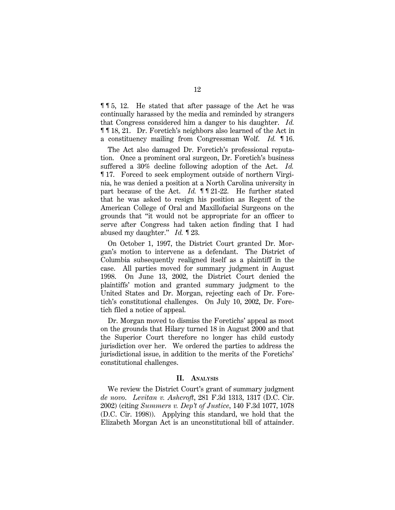¶ ¶ 5, 12. He stated that after passage of the Act he was continually harassed by the media and reminded by strangers that Congress considered him a danger to his daughter. *Id.* ¶ ¶ 18, 21. Dr. Foretich's neighbors also learned of the Act in a constituency mailing from Congressman Wolf. *Id.* ¶ 16.

The Act also damaged Dr. Foretich's professional reputation. Once a prominent oral surgeon, Dr. Foretich's business suffered a 30% decline following adoption of the Act. *Id.* ¶ 17. Forced to seek employment outside of northern Virginia, he was denied a position at a North Carolina university in part because of the Act. *Id.* **1121-22**. He further stated that he was asked to resign his position as Regent of the American College of Oral and Maxillofacial Surgeons on the grounds that ''it would not be appropriate for an officer to serve after Congress had taken action finding that I had abused my daughter.'' *Id.* ¶ 23.

On October 1, 1997, the District Court granted Dr. Morgan's motion to intervene as a defendant. The District of Columbia subsequently realigned itself as a plaintiff in the case. All parties moved for summary judgment in August 1998. On June 13, 2002, the District Court denied the plaintiffs' motion and granted summary judgment to the United States and Dr. Morgan, rejecting each of Dr. Foretich's constitutional challenges. On July 10, 2002, Dr. Foretich filed a notice of appeal.

Dr. Morgan moved to dismiss the Foretichs' appeal as moot on the grounds that Hilary turned 18 in August 2000 and that the Superior Court therefore no longer has child custody jurisdiction over her. We ordered the parties to address the jurisdictional issue, in addition to the merits of the Foretichs' constitutional challenges.

#### **II. ANALYSIS**

We review the District Court's grant of summary judgment *de novo*. *Levitan v. Ashcroft*, 281 F.3d 1313, 1317 (D.C. Cir. 2002) (citing *Summers v. Dep't of Justice*, 140 F.3d 1077, 1078 (D.C. Cir. 1998)). Applying this standard, we hold that the Elizabeth Morgan Act is an unconstitutional bill of attainder.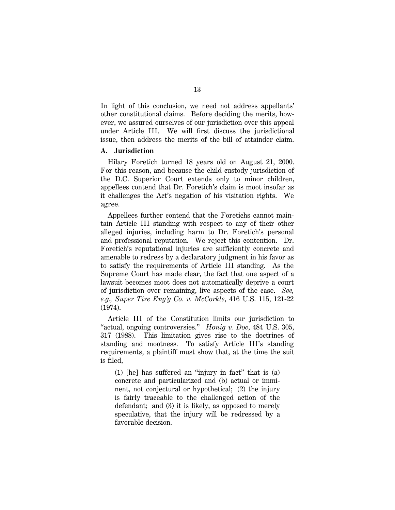In light of this conclusion, we need not address appellants' other constitutional claims. Before deciding the merits, however, we assured ourselves of our jurisdiction over this appeal under Article III. We will first discuss the jurisdictional issue, then address the merits of the bill of attainder claim.

## **A. Jurisdiction**

Hilary Foretich turned 18 years old on August 21, 2000. For this reason, and because the child custody jurisdiction of the D.C. Superior Court extends only to minor children, appellees contend that Dr. Foretich's claim is moot insofar as it challenges the Act's negation of his visitation rights. We agree.

Appellees further contend that the Foretichs cannot maintain Article III standing with respect to any of their other alleged injuries, including harm to Dr. Foretich's personal and professional reputation. We reject this contention. Dr. Foretich's reputational injuries are sufficiently concrete and amenable to redress by a declaratory judgment in his favor as to satisfy the requirements of Article III standing. As the Supreme Court has made clear, the fact that one aspect of a lawsuit becomes moot does not automatically deprive a court of jurisdiction over remaining, live aspects of the case. *See, e.g., Super Tire Eng'g Co. v. McCorkle*, 416 U.S. 115, 121-22 (1974).

Article III of the Constitution limits our jurisdiction to ''actual, ongoing controversies.'' *Honig v. Doe*, 484 U.S. 305, 317 (1988). This limitation gives rise to the doctrines of standing and mootness. To satisfy Article III's standing requirements, a plaintiff must show that, at the time the suit is filed,

(1) [he] has suffered an ''injury in fact'' that is (a) concrete and particularized and (b) actual or imminent, not conjectural or hypothetical; (2) the injury is fairly traceable to the challenged action of the defendant; and (3) it is likely, as opposed to merely speculative, that the injury will be redressed by a favorable decision.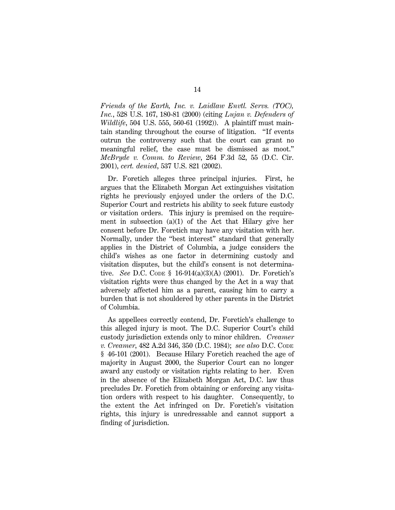*Friends of the Earth, Inc. v. Laidlaw Envtl. Servs. (TOC), Inc.*, 528 U.S. 167, 180-81 (2000) (citing *Lujan v. Defenders of Wildlife*, 504 U.S. 555, 560-61 (1992)). A plaintiff must maintain standing throughout the course of litigation. ''If events outrun the controversy such that the court can grant no meaningful relief, the case must be dismissed as moot.'' *McBryde v. Comm. to Review*, 264 F.3d 52, 55 (D.C. Cir. 2001), *cert. denied*, 537 U.S. 821 (2002).

Dr. Foretich alleges three principal injuries. First, he argues that the Elizabeth Morgan Act extinguishes visitation rights he previously enjoyed under the orders of the D.C. Superior Court and restricts his ability to seek future custody or visitation orders. This injury is premised on the requirement in subsection  $(a)(1)$  of the Act that Hilary give her consent before Dr. Foretich may have any visitation with her. Normally, under the ''best interest'' standard that generally applies in the District of Columbia, a judge considers the child's wishes as one factor in determining custody and visitation disputes, but the child's consent is not determinative. *See* D.C. CODE § 16-914(a)(3)(A) (2001). Dr. Foretich's visitation rights were thus changed by the Act in a way that adversely affected him as a parent, causing him to carry a burden that is not shouldered by other parents in the District of Columbia.

As appellees correctly contend, Dr. Foretich's challenge to this alleged injury is moot. The D.C. Superior Court's child custody jurisdiction extends only to minor children. *Creamer v. Creamer*, 482 A.2d 346, 350 (D.C. 1984); *see also* D.C. CODE § 46-101 (2001). Because Hilary Foretich reached the age of majority in August 2000, the Superior Court can no longer award any custody or visitation rights relating to her. Even in the absence of the Elizabeth Morgan Act, D.C. law thus precludes Dr. Foretich from obtaining or enforcing any visitation orders with respect to his daughter. Consequently, to the extent the Act infringed on Dr. Foretich's visitation rights, this injury is unredressable and cannot support a finding of jurisdiction.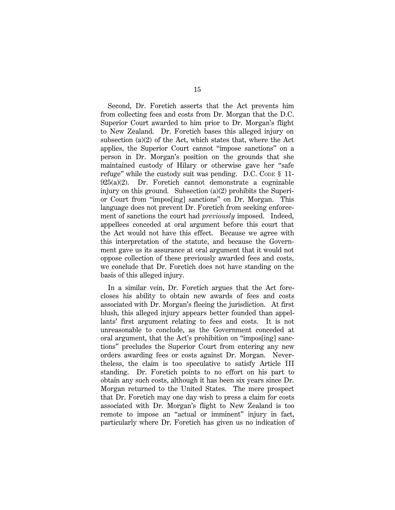Second, Dr. Foretich asserts that the Act prevents him from collecting fees and costs from Dr. Morgan that the D.C. Superior Court awarded to him prior to Dr. Morgan's flight to New Zealand. Dr. Foretich bases this alleged injury on subsection (a)(2) of the Act, which states that, where the Act applies, the Superior Court cannot ''impose sanctions'' on a person in Dr. Morgan's position on the grounds that she maintained custody of Hilary or otherwise gave her ''safe refuge" while the custody suit was pending. D.C. Code  $\S$  11-925(a)(2). Dr. Foretich cannot demonstrate a cognizable injury on this ground. Subsection (a)(2) prohibits the Superior Court from ''impos[ing] sanctions'' on Dr. Morgan. This language does not prevent Dr. Foretich from seeking enforcement of sanctions the court had *previously* imposed. Indeed, appellees conceded at oral argument before this court that the Act would not have this effect. Because we agree with this interpretation of the statute, and because the Government gave us its assurance at oral argument that it would not oppose collection of these previously awarded fees and costs, we conclude that Dr. Foretich does not have standing on the basis of this alleged injury.

In a similar vein, Dr. Foretich argues that the Act forecloses his ability to obtain new awards of fees and costs associated with Dr. Morgan's fleeing the jurisdiction. At first blush, this alleged injury appears better founded than appellants' first argument relating to fees and costs. It is not unreasonable to conclude, as the Government conceded at oral argument, that the Act's prohibition on ''impos[ing] sanctions'' precludes the Superior Court from entering any new orders awarding fees or costs against Dr. Morgan. Nevertheless, the claim is too speculative to satisfy Article III standing. Dr. Foretich points to no effort on his part to obtain any such costs, although it has been six years since Dr. Morgan returned to the United States. The mere prospect that Dr. Foretich may one day wish to press a claim for costs associated with Dr. Morgan's flight to New Zealand is too remote to impose an ''actual or imminent'' injury in fact, particularly where Dr. Foretich has given us no indication of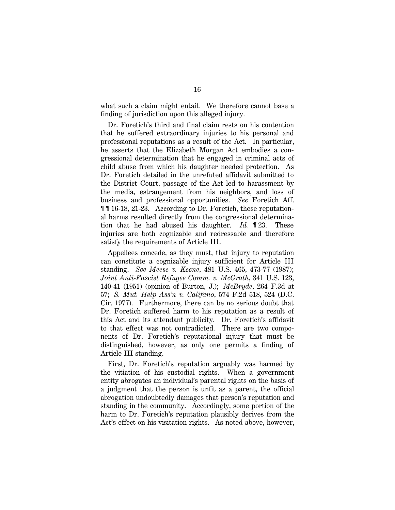what such a claim might entail. We therefore cannot base a finding of jurisdiction upon this alleged injury.

Dr. Foretich's third and final claim rests on his contention that he suffered extraordinary injuries to his personal and professional reputations as a result of the Act. In particular, he asserts that the Elizabeth Morgan Act embodies a congressional determination that he engaged in criminal acts of child abuse from which his daughter needed protection. As Dr. Foretich detailed in the unrefuted affidavit submitted to the District Court, passage of the Act led to harassment by the media, estrangement from his neighbors, and loss of business and professional opportunities. *See* Foretich Aff. ¶ ¶ 16-18, 21-23. According to Dr. Foretich, these reputational harms resulted directly from the congressional determination that he had abused his daughter. *Id.* ¶ 23. These injuries are both cognizable and redressable and therefore satisfy the requirements of Article III.

Appellees concede, as they must, that injury to reputation can constitute a cognizable injury sufficient for Article III standing. *See Meese v. Keene*, 481 U.S. 465, 473-77 (1987); *Joint Anti-Fascist Refugee Comm. v. McGrath*, 341 U.S. 123, 140-41 (1951) (opinion of Burton, J.); *McBryde*, 264 F.3d at 57; *S. Mut. Help Ass'n v. Califano*, 574 F.2d 518, 524 (D.C. Cir. 1977). Furthermore, there can be no serious doubt that Dr. Foretich suffered harm to his reputation as a result of this Act and its attendant publicity. Dr. Foretich's affidavit to that effect was not contradicted. There are two components of Dr. Foretich's reputational injury that must be distinguished, however, as only one permits a finding of Article III standing.

First, Dr. Foretich's reputation arguably was harmed by the vitiation of his custodial rights. When a government entity abrogates an individual's parental rights on the basis of a judgment that the person is unfit as a parent, the official abrogation undoubtedly damages that person's reputation and standing in the community. Accordingly, some portion of the harm to Dr. Foretich's reputation plausibly derives from the Act's effect on his visitation rights. As noted above, however,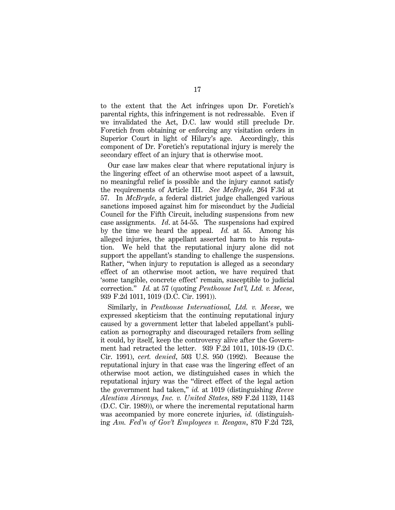to the extent that the Act infringes upon Dr. Foretich's parental rights, this infringement is not redressable. Even if we invalidated the Act, D.C. law would still preclude Dr. Foretich from obtaining or enforcing any visitation orders in Superior Court in light of Hilary's age. Accordingly, this component of Dr. Foretich's reputational injury is merely the secondary effect of an injury that is otherwise moot.

Our case law makes clear that where reputational injury is the lingering effect of an otherwise moot aspect of a lawsuit, no meaningful relief is possible and the injury cannot satisfy the requirements of Article III. *See McBryde*, 264 F.3d at 57. In *McBryde*, a federal district judge challenged various sanctions imposed against him for misconduct by the Judicial Council for the Fifth Circuit, including suspensions from new case assignments. *Id*. at 54-55. The suspensions had expired by the time we heard the appeal. *Id.* at 55. Among his alleged injuries, the appellant asserted harm to his reputation. We held that the reputational injury alone did not support the appellant's standing to challenge the suspensions. Rather, ''when injury to reputation is alleged as a secondary effect of an otherwise moot action, we have required that 'some tangible, concrete effect' remain, susceptible to judicial correction.'' *Id.* at 57 (quoting *Penthouse Int'l, Ltd. v. Meese*, 939 F.2d 1011, 1019 (D.C. Cir. 1991)).

Similarly, in *Penthouse International, Ltd. v. Meese*, we expressed skepticism that the continuing reputational injury caused by a government letter that labeled appellant's publication as pornography and discouraged retailers from selling it could, by itself, keep the controversy alive after the Government had retracted the letter. 939 F.2d 1011, 1018-19 (D.C. Cir. 1991), *cert. denied*, 503 U.S. 950 (1992). Because the reputational injury in that case was the lingering effect of an otherwise moot action, we distinguished cases in which the reputational injury was the ''direct effect of the legal action the government had taken,'' *id.* at 1019 (distinguishing *Reeve Aleutian Airways, Inc. v. United States*, 889 F.2d 1139, 1143 (D.C. Cir. 1989)), or where the incremental reputational harm was accompanied by more concrete injuries, *id.* (distinguishing *Am. Fed'n of Gov't Employees v. Reagan*, 870 F.2d 723,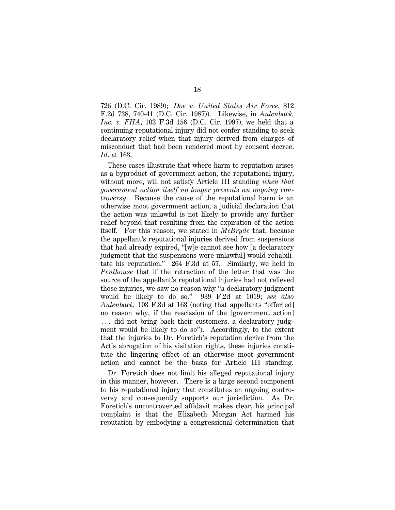726 (D.C. Cir. 1989); *Doe v. United States Air Force*, 812 F.2d 738, 740-41 (D.C. Cir. 1987)). Likewise, in *Aulenback, Inc. v. FHA*, 103 F.3d 156 (D.C. Cir. 1997), we held that a continuing reputational injury did not confer standing to seek declaratory relief when that injury derived from charges of misconduct that had been rendered moot by consent decree. *Id*. at 163.

These cases illustrate that where harm to reputation arises as a byproduct of government action, the reputational injury, without more, will not satisfy Article III standing *when that government action itself no longer presents an ongoing controversy*. Because the cause of the reputational harm is an otherwise moot government action, a judicial declaration that the action was unlawful is not likely to provide any further relief beyond that resulting from the expiration of the action itself. For this reason, we stated in *McBryde* that, because the appellant's reputational injuries derived from suspensions that had already expired, ''[w]e cannot see how [a declaratory judgment that the suspensions were unlawful] would rehabilitate his reputation.'' 264 F.3d at 57. Similarly, we held in *Penthouse* that if the retraction of the letter that was the source of the appellant's reputational injuries had not relieved those injuries, we saw no reason why ''a declaratory judgment would be likely to do so.'' 939 F.2d at 1019; *see also Aulenback,* 103 F.3d at 163 (noting that appellants ''offer[ed] no reason why, if the rescission of the [government action]  $\ldots$  did not bring back their customers, a declaratory judgment would be likely to do so''). Accordingly, to the extent that the injuries to Dr. Foretich's reputation derive from the Act's abrogation of his visitation rights, these injuries constitute the lingering effect of an otherwise moot government action and cannot be the basis for Article III standing.

Dr. Foretich does not limit his alleged reputational injury in this manner, however. There is a large second component to his reputational injury that constitutes an ongoing controversy and consequently supports our jurisdiction. As Dr. Foretich's uncontroverted affidavit makes clear, his principal complaint is that the Elizabeth Morgan Act harmed his reputation by embodying a congressional determination that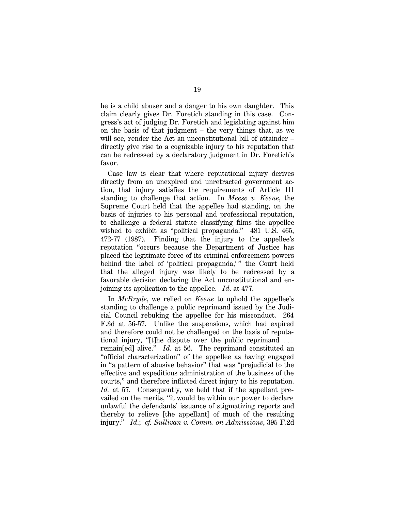he is a child abuser and a danger to his own daughter. This claim clearly gives Dr. Foretich standing in this case. Congress's act of judging Dr. Foretich and legislating against him on the basis of that judgment – the very things that, as we will see, render the Act an unconstitutional bill of attainder – directly give rise to a cognizable injury to his reputation that can be redressed by a declaratory judgment in Dr. Foretich's favor.

Case law is clear that where reputational injury derives directly from an unexpired and unretracted government action, that injury satisfies the requirements of Article III standing to challenge that action. In *Meese v. Keene*, the Supreme Court held that the appellee had standing, on the basis of injuries to his personal and professional reputation, to challenge a federal statute classifying films the appellee wished to exhibit as "political propaganda." 481 U.S. 465, 472-77 (1987). Finding that the injury to the appellee's reputation ''occurs because the Department of Justice has placed the legitimate force of its criminal enforcement powers behind the label of 'political propaganda,'" the Court held that the alleged injury was likely to be redressed by a favorable decision declaring the Act unconstitutional and enjoining its application to the appellee. *Id*. at 477.

In *McBryde*, we relied on *Keene* to uphold the appellee's standing to challenge a public reprimand issued by the Judicial Council rebuking the appellee for his misconduct. 264 F.3d at 56-57. Unlike the suspensions, which had expired and therefore could not be challenged on the basis of reputational injury, "[t]he dispute over the public reprimand  $\ldots$ remain[ed] alive.'' *Id*. at 56. The reprimand constituted an ''official characterization'' of the appellee as having engaged in ''a pattern of abusive behavior'' that was ''prejudicial to the effective and expeditious administration of the business of the courts,'' and therefore inflicted direct injury to his reputation. *Id.* at 57. Consequently, we held that if the appellant prevailed on the merits, ''it would be within our power to declare unlawful the defendants' issuance of stigmatizing reports and thereby to relieve [the appellant] of much of the resulting injury.'' *Id*.; *cf. Sullivan v. Comm. on Admissions*, 395 F.2d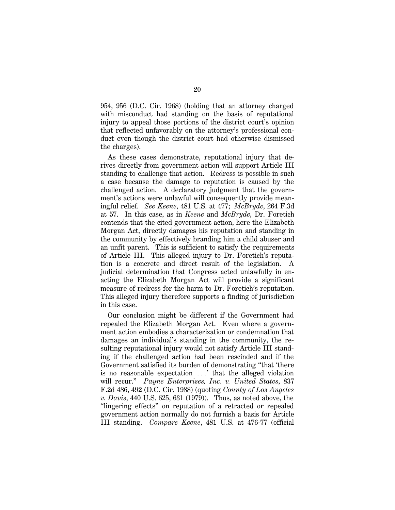954, 956 (D.C. Cir. 1968) (holding that an attorney charged with misconduct had standing on the basis of reputational injury to appeal those portions of the district court's opinion that reflected unfavorably on the attorney's professional conduct even though the district court had otherwise dismissed the charges).

As these cases demonstrate, reputational injury that derives directly from government action will support Article III standing to challenge that action. Redress is possible in such a case because the damage to reputation is caused by the challenged action. A declaratory judgment that the government's actions were unlawful will consequently provide meaningful relief. *See Keene*, 481 U.S. at 477; *McBryde*, 264 F.3d at 57. In this case, as in *Keene* and *McBryde*, Dr. Foretich contends that the cited government action, here the Elizabeth Morgan Act, directly damages his reputation and standing in the community by effectively branding him a child abuser and an unfit parent. This is sufficient to satisfy the requirements of Article III. This alleged injury to Dr. Foretich's reputation is a concrete and direct result of the legislation. A judicial determination that Congress acted unlawfully in enacting the Elizabeth Morgan Act will provide a significant measure of redress for the harm to Dr. Foretich's reputation. This alleged injury therefore supports a finding of jurisdiction in this case.

Our conclusion might be different if the Government had repealed the Elizabeth Morgan Act. Even where a government action embodies a characterization or condemnation that damages an individual's standing in the community, the resulting reputational injury would not satisfy Article III standing if the challenged action had been rescinded and if the Government satisfied its burden of demonstrating ''that 'there is no reasonable expectation  $\ldots$  that the alleged violation will recur.'' *Payne Enterprises, Inc. v. United States*, 837 F.2d 486, 492 (D.C. Cir. 1988) (quoting *County of Los Angeles v. Davis*, 440 U.S. 625, 631 (1979)). Thus, as noted above, the ''lingering effects'' on reputation of a retracted or repealed government action normally do not furnish a basis for Article III standing. *Compare Keene*, 481 U.S. at 476-77 (official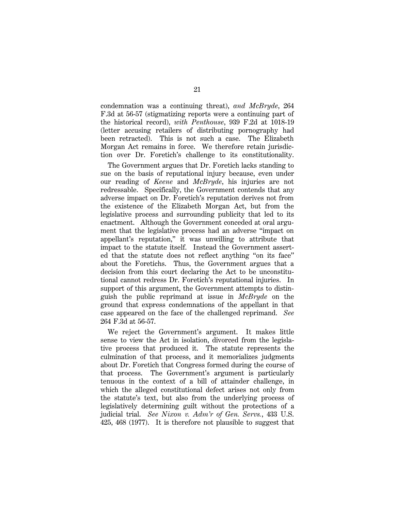condemnation was a continuing threat), *and McBryde*, 264 F.3d at 56-57 (stigmatizing reports were a continuing part of the historical record), *with Penthouse*, 939 F.2d at 1018-19 (letter accusing retailers of distributing pornography had been retracted). This is not such a case. The Elizabeth Morgan Act remains in force. We therefore retain jurisdiction over Dr. Foretich's challenge to its constitutionality.

The Government argues that Dr. Foretich lacks standing to sue on the basis of reputational injury because, even under our reading of *Keene* and *McBryde*, his injuries are not redressable. Specifically, the Government contends that any adverse impact on Dr. Foretich's reputation derives not from the existence of the Elizabeth Morgan Act, but from the legislative process and surrounding publicity that led to its enactment. Although the Government conceded at oral argument that the legislative process had an adverse ''impact on appellant's reputation,'' it was unwilling to attribute that impact to the statute itself. Instead the Government asserted that the statute does not reflect anything ''on its face'' about the Foretichs. Thus, the Government argues that a decision from this court declaring the Act to be unconstitutional cannot redress Dr. Foretich's reputational injuries. In support of this argument, the Government attempts to distinguish the public reprimand at issue in *McBryde* on the ground that express condemnations of the appellant in that case appeared on the face of the challenged reprimand. *See* 264 F.3d at 56-57.

We reject the Government's argument. It makes little sense to view the Act in isolation, divorced from the legislative process that produced it. The statute represents the culmination of that process, and it memorializes judgments about Dr. Foretich that Congress formed during the course of that process. The Government's argument is particularly tenuous in the context of a bill of attainder challenge, in which the alleged constitutional defect arises not only from the statute's text, but also from the underlying process of legislatively determining guilt without the protections of a judicial trial. *See Nixon v. Adm'r of Gen. Servs.*, 433 U.S. 425, 468 (1977). It is therefore not plausible to suggest that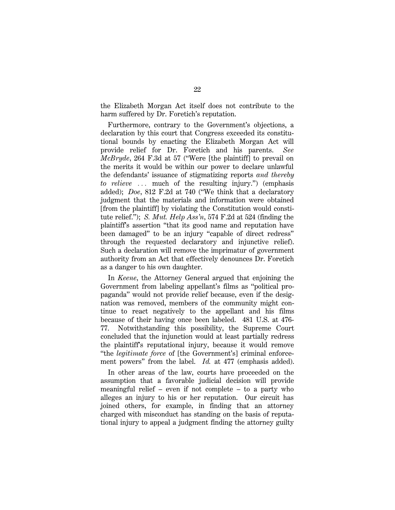the Elizabeth Morgan Act itself does not contribute to the harm suffered by Dr. Foretich's reputation.

Furthermore, contrary to the Government's objections, a declaration by this court that Congress exceeded its constitutional bounds by enacting the Elizabeth Morgan Act will provide relief for Dr. Foretich and his parents. *See McBryde*, 264 F.3d at 57 (''Were [the plaintiff] to prevail on the merits it would be within our power to declare unlawful the defendants' issuance of stigmatizing reports *and thereby to relieve* ... much of the resulting injury.") (emphasis added); *Doe*, 812 F.2d at 740 (''We think that a declaratory judgment that the materials and information were obtained [from the plaintiff] by violating the Constitution would constitute relief.''); *S. Mut. Help Ass'n*, 574 F.2d at 524 (finding the plaintiff's assertion ''that its good name and reputation have been damaged" to be an injury "capable of direct redress" through the requested declaratory and injunctive relief). Such a declaration will remove the imprimatur of government authority from an Act that effectively denounces Dr. Foretich as a danger to his own daughter.

In *Keene*, the Attorney General argued that enjoining the Government from labeling appellant's films as ''political propaganda'' would not provide relief because, even if the designation was removed, members of the community might continue to react negatively to the appellant and his films because of their having once been labeled. 481 U.S. at 476- 77. Notwithstanding this possibility, the Supreme Court concluded that the injunction would at least partially redress the plaintiff's reputational injury, because it would remove ''the *legitimate force* of [the Government's] criminal enforcement powers'' from the label. *Id.* at 477 (emphasis added).

In other areas of the law, courts have proceeded on the assumption that a favorable judicial decision will provide meaningful relief – even if not complete – to a party who alleges an injury to his or her reputation. Our circuit has joined others, for example, in finding that an attorney charged with misconduct has standing on the basis of reputational injury to appeal a judgment finding the attorney guilty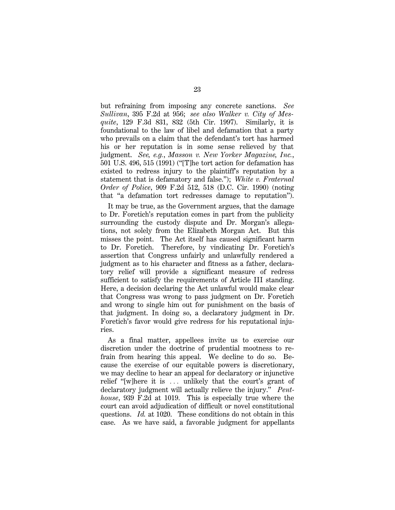but refraining from imposing any concrete sanctions. *See Sullivan*, 395 F.2d at 956; *see also Walker v. City of Mesquite*, 129 F.3d 831, 832 (5th Cir. 1997). Similarly, it is foundational to the law of libel and defamation that a party who prevails on a claim that the defendant's tort has harmed his or her reputation is in some sense relieved by that judgment. *See, e.g.*, *Masson v. New Yorker Magazine, Inc.*, 501 U.S. 496, 515 (1991) (''[T]he tort action for defamation has existed to redress injury to the plaintiff's reputation by a statement that is defamatory and false.''); *White v. Fraternal Order of Police*, 909 F.2d 512, 518 (D.C. Cir. 1990) (noting that ''a defamation tort redresses damage to reputation'').

It may be true, as the Government argues, that the damage to Dr. Foretich's reputation comes in part from the publicity surrounding the custody dispute and Dr. Morgan's allegations, not solely from the Elizabeth Morgan Act. But this misses the point. The Act itself has caused significant harm to Dr. Foretich. Therefore, by vindicating Dr. Foretich's assertion that Congress unfairly and unlawfully rendered a judgment as to his character and fitness as a father, declaratory relief will provide a significant measure of redress sufficient to satisfy the requirements of Article III standing. Here, a decision declaring the Act unlawful would make clear that Congress was wrong to pass judgment on Dr. Foretich and wrong to single him out for punishment on the basis of that judgment. In doing so, a declaratory judgment in Dr. Foretich's favor would give redress for his reputational injuries.

As a final matter, appellees invite us to exercise our discretion under the doctrine of prudential mootness to refrain from hearing this appeal. We decline to do so. Because the exercise of our equitable powers is discretionary, we may decline to hear an appeal for declaratory or injunctive relief "[w]here it is  $\ldots$  unlikely that the court's grant of declaratory judgment will actually relieve the injury.'' *Penthouse*, 939 F.2d at 1019. This is especially true where the court can avoid adjudication of difficult or novel constitutional questions. *Id.* at 1020. These conditions do not obtain in this case. As we have said, a favorable judgment for appellants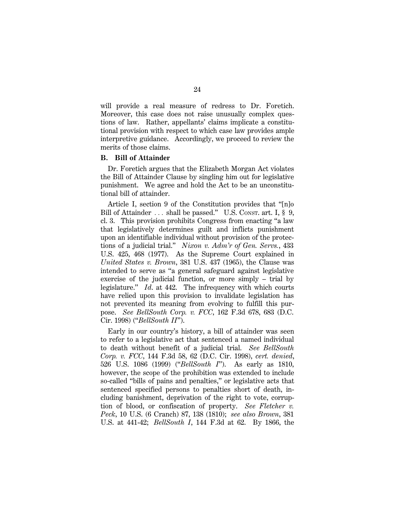will provide a real measure of redress to Dr. Foretich. Moreover, this case does not raise unusually complex questions of law. Rather, appellants' claims implicate a constitutional provision with respect to which case law provides ample interpretive guidance. Accordingly, we proceed to review the merits of those claims.

#### **B. Bill of Attainder**

Dr. Foretich argues that the Elizabeth Morgan Act violates the Bill of Attainder Clause by singling him out for legislative punishment. We agree and hold the Act to be an unconstitutional bill of attainder.

Article I, section 9 of the Constitution provides that ''[n]o Bill of Attainder  $\ldots$  shall be passed." U.S. Const. art. I, § 9, cl. 3. This provision prohibits Congress from enacting ''a law that legislatively determines guilt and inflicts punishment upon an identifiable individual without provision of the protections of a judicial trial.'' *Nixon v. Adm'r of Gen. Servs.*, 433 U.S. 425, 468 (1977). As the Supreme Court explained in *United States v. Brown*, 381 U.S. 437 (1965), the Clause was intended to serve as ''a general safeguard against legislative exercise of the judicial function, or more simply – trial by legislature.'' *Id*. at 442. The infrequency with which courts have relied upon this provision to invalidate legislation has not prevented its meaning from evolving to fulfill this purpose. *See BellSouth Corp. v. FCC*, 162 F.3d 678, 683 (D.C. Cir. 1998) (''*BellSouth II*'').

Early in our country's history, a bill of attainder was seen to refer to a legislative act that sentenced a named individual to death without benefit of a judicial trial. *See BellSouth Corp. v. FCC*, 144 F.3d 58, 62 (D.C. Cir. 1998), *cert. denied*, 526 U.S. 1086 (1999) (''*BellSouth I*''). As early as 1810, however, the scope of the prohibition was extended to include so-called ''bills of pains and penalties,'' or legislative acts that sentenced specified persons to penalties short of death, including banishment, deprivation of the right to vote, corruption of blood, or confiscation of property. *See Fletcher v. Peck*, 10 U.S. (6 Cranch) 87, 138 (1810); *see also Brown*, 381 U.S. at 441-42; *BellSouth I*, 144 F.3d at 62. By 1866, the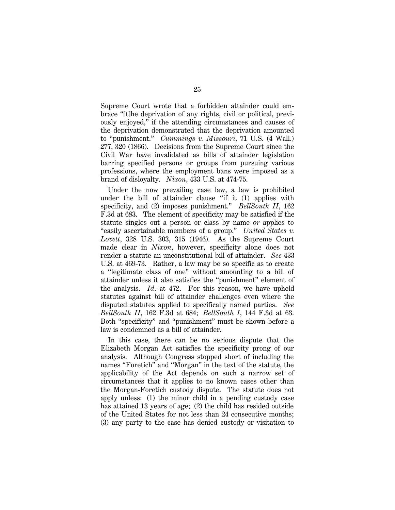Supreme Court wrote that a forbidden attainder could embrace ''[t]he deprivation of any rights, civil or political, previously enjoyed,'' if the attending circumstances and causes of the deprivation demonstrated that the deprivation amounted to ''punishment.'' *Cummings v. Missouri*, 71 U.S. (4 Wall.) 277, 320 (1866). Decisions from the Supreme Court since the Civil War have invalidated as bills of attainder legislation barring specified persons or groups from pursuing various professions, where the employment bans were imposed as a brand of disloyalty. *Nixon*, 433 U.S. at 474-75.

Under the now prevailing case law, a law is prohibited under the bill of attainder clause "if it (1) applies with specificity, and (2) imposes punishment.'' *BellSouth II*, 162 F.3d at 683. The element of specificity may be satisfied if the statute singles out a person or class by name *or* applies to ''easily ascertainable members of a group.'' *United States v. Lovett*, 328 U.S. 303, 315 (1946). As the Supreme Court made clear in *Nixon*, however, specificity alone does not render a statute an unconstitutional bill of attainder. *See* 433 U.S. at 469-73. Rather, a law may be so specific as to create a ''legitimate class of one'' without amounting to a bill of attainder unless it also satisfies the ''punishment'' element of the analysis. *Id*. at 472. For this reason, we have upheld statutes against bill of attainder challenges even where the disputed statutes applied to specifically named parties. *See BellSouth II*, 162 F.3d at 684; *BellSouth I*, 144 F.3d at 63. Both ''specificity'' and ''punishment'' must be shown before a law is condemned as a bill of attainder.

In this case, there can be no serious dispute that the Elizabeth Morgan Act satisfies the specificity prong of our analysis. Although Congress stopped short of including the names "Foretich" and "Morgan" in the text of the statute, the applicability of the Act depends on such a narrow set of circumstances that it applies to no known cases other than the Morgan-Foretich custody dispute. The statute does not apply unless: (1) the minor child in a pending custody case has attained 13 years of age; (2) the child has resided outside of the United States for not less than 24 consecutive months; (3) any party to the case has denied custody or visitation to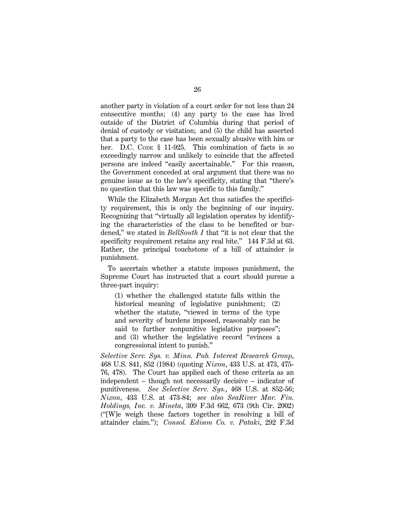another party in violation of a court order for not less than 24 consecutive months; (4) any party to the case has lived outside of the District of Columbia during that period of denial of custody or visitation; and (5) the child has asserted that a party to the case has been sexually abusive with him or her. D.C. Code § 11-925. This combination of facts is so exceedingly narrow and unlikely to coincide that the affected persons are indeed ''easily ascertainable.'' For this reason, the Government conceded at oral argument that there was no genuine issue as to the law's specificity, stating that ''there's no question that this law was specific to this family.''

While the Elizabeth Morgan Act thus satisfies the specificity requirement, this is only the beginning of our inquiry. Recognizing that ''virtually all legislation operates by identifying the characteristics of the class to be benefited or burdened," we stated in *BellSouth I* that "it is not clear that the specificity requirement retains any real bite." 144 F.3d at 63. Rather, the principal touchstone of a bill of attainder is punishment.

To ascertain whether a statute imposes punishment, the Supreme Court has instructed that a court should pursue a three-part inquiry:

(1) whether the challenged statute falls within the historical meaning of legislative punishment; (2) whether the statute, ''viewed in terms of the type and severity of burdens imposed, reasonably can be said to further nonpunitive legislative purposes''; and (3) whether the legislative record ''evinces a congressional intent to punish.''

*Selective Serv. Sys. v. Minn. Pub. Interest Research Group*, 468 U.S. 841, 852 (1984) (quoting *Nixon*, 433 U.S. at 473, 475- 76, 478). The Court has applied each of these criteria as an independent – though not necessarily decisive – indicator of punitiveness. *See Selective Serv. Sys.*, 468 U.S. at 852-56; *Nixon*, 433 U.S. at 473-84; *see also SeaRiver Mar. Fin. Holdings, Inc. v. Mineta*, 309 F.3d 662, 673 (9th Cir. 2002) (''[W]e weigh these factors together in resolving a bill of attainder claim.''); *Consol. Edison Co. v. Pataki*, 292 F.3d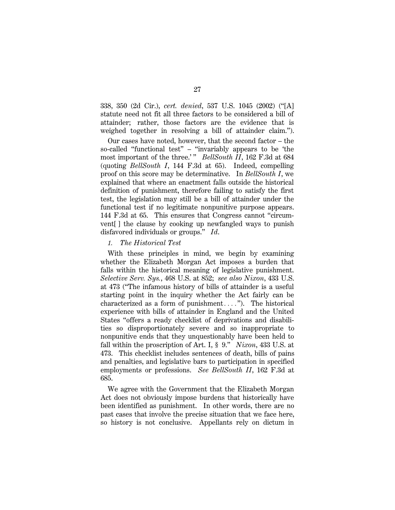338, 350 (2d Cir.), *cert. denied*, 537 U.S. 1045 (2002) (''[A] statute need not fit all three factors to be considered a bill of attainder; rather, those factors are the evidence that is weighed together in resolving a bill of attainder claim.'').

Our cases have noted, however, that the second factor – the so-called ''functional test'' – ''invariably appears to be 'the most important of the three.' " *BellSouth II*, 162 F.3d at 684 (quoting *BellSouth I*, 144 F.3d at 65). Indeed, compelling proof on this score may be determinative. In *BellSouth I*, we explained that where an enactment falls outside the historical definition of punishment, therefore failing to satisfy the first test, the legislation may still be a bill of attainder under the functional test if no legitimate nonpunitive purpose appears. 144 F.3d at 65. This ensures that Congress cannot ''circumvent[ ] the clause by cooking up newfangled ways to punish disfavored individuals or groups.'' *Id*.

#### *1. The Historical Test*

With these principles in mind, we begin by examining whether the Elizabeth Morgan Act imposes a burden that falls within the historical meaning of legislative punishment. *Selective Serv. Sys.*, 468 U.S. at 852; *see also Nixon*, 433 U.S. at 473 (''The infamous history of bills of attainder is a useful starting point in the inquiry whether the Act fairly can be characterized as a form of punishment...."). The historical experience with bills of attainder in England and the United States ''offers a ready checklist of deprivations and disabilities so disproportionately severe and so inappropriate to nonpunitive ends that they unquestionably have been held to fall within the proscription of Art. I, § 9.'' *Nixon*, 433 U.S. at 473. This checklist includes sentences of death, bills of pains and penalties, and legislative bars to participation in specified employments or professions. *See BellSouth II*, 162 F.3d at 685.

We agree with the Government that the Elizabeth Morgan Act does not obviously impose burdens that historically have been identified as punishment. In other words, there are no past cases that involve the precise situation that we face here, so history is not conclusive. Appellants rely on dictum in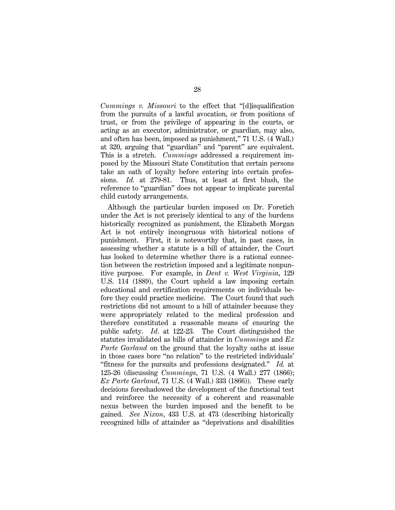*Cummings v. Missouri* to the effect that ''[d]isqualification from the pursuits of a lawful avocation, or from positions of trust, or from the privilege of appearing in the courts, or acting as an executor, administrator, or guardian, may also, and often has been, imposed as punishment,'' 71 U.S. (4 Wall.) at 320, arguing that ''guardian'' and ''parent'' are equivalent. This is a stretch. *Cummings* addressed a requirement imposed by the Missouri State Constitution that certain persons take an oath of loyalty before entering into certain professions. *Id.* at 279-81. Thus, at least at first blush, the reference to ''guardian'' does not appear to implicate parental child custody arrangements.

Although the particular burden imposed on Dr. Foretich under the Act is not precisely identical to any of the burdens historically recognized as punishment, the Elizabeth Morgan Act is not entirely incongruous with historical notions of punishment. First, it is noteworthy that, in past cases, in assessing whether a statute is a bill of attainder, the Court has looked to determine whether there is a rational connection between the restriction imposed and a legitimate nonpunitive purpose. For example, in *Dent v. West Virginia*, 129 U.S. 114 (1889), the Court upheld a law imposing certain educational and certification requirements on individuals before they could practice medicine. The Court found that such restrictions did not amount to a bill of attainder because they were appropriately related to the medical profession and therefore constituted a reasonable means of ensuring the public safety. *Id*. at 122-23. The Court distinguished the statutes invalidated as bills of attainder in *Cummings* and *Ex Parte Garland* on the ground that the loyalty oaths at issue in those cases bore ''no relation'' to the restricted individuals' ''fitness for the pursuits and professions designated.'' *Id.* at 125-26 (discussing *Cummings*, 71 U.S. (4 Wall.) 277 (1866); *Ex Parte Garland*, 71 U.S. (4 Wall.) 333 (1866)). These early decisions foreshadowed the development of the functional test and reinforce the necessity of a coherent and reasonable nexus between the burden imposed and the benefit to be gained. *See Nixon*, 433 U.S. at 473 (describing historically recognized bills of attainder as ''deprivations and disabilities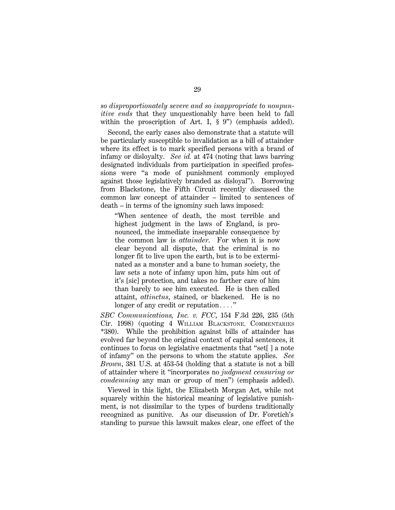*so disproportionately severe and so inappropriate to nonpunitive ends* that they unquestionably have been held to fall within the proscription of Art. I, § 9" (emphasis added).

Second, the early cases also demonstrate that a statute will be particularly susceptible to invalidation as a bill of attainder where its effect is to mark specified persons with a brand of infamy or disloyalty. *See id.* at 474 (noting that laws barring designated individuals from participation in specified professions were ''a mode of punishment commonly employed against those legislatively branded as disloyal''). Borrowing from Blackstone, the Fifth Circuit recently discussed the common law concept of attainder – limited to sentences of death – in terms of the ignominy such laws imposed:

''When sentence of death, the most terrible and highest judgment in the laws of England, is pronounced, the immediate inseparable consequence by the common law is *attainder*. For when it is now clear beyond all dispute, that the criminal is no longer fit to live upon the earth, but is to be exterminated as a monster and a bane to human society, the law sets a note of infamy upon him, puts him out of it's [sic] protection, and takes no farther care of him than barely to see him executed. He is then called attaint, *attinctus*, stained, or blackened. He is no longer of any credit or reputation $\ldots$ ."

*SBC Communications, Inc. v. FCC*, 154 F.3d 226, 235 (5th Cir. 1998) (quoting 4 WILLIAM BLACKSTONE, COMMENTARIES \*380). While the prohibition against bills of attainder has evolved far beyond the original context of capital sentences, it continues to focus on legislative enactments that ''set[ ] a note of infamy'' on the persons to whom the statute applies. *See Brown*, 381 U.S. at 453-54 (holding that a statute is not a bill of attainder where it ''incorporates no *judgment censuring or condemning* any man or group of men'') (emphasis added).

Viewed in this light, the Elizabeth Morgan Act, while not squarely within the historical meaning of legislative punishment, is not dissimilar to the types of burdens traditionally recognized as punitive. As our discussion of Dr. Foretich's standing to pursue this lawsuit makes clear, one effect of the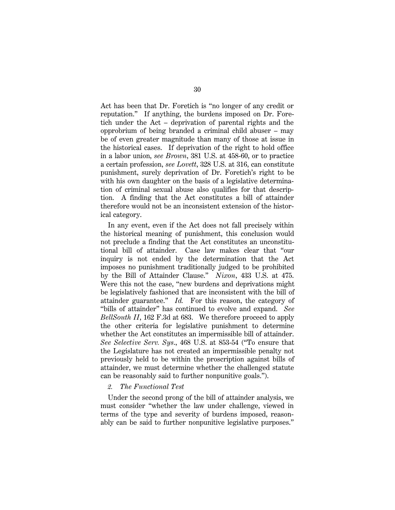Act has been that Dr. Foretich is ''no longer of any credit or reputation.'' If anything, the burdens imposed on Dr. Foretich under the Act – deprivation of parental rights and the opprobrium of being branded a criminal child abuser – may be of even greater magnitude than many of those at issue in the historical cases. If deprivation of the right to hold office in a labor union, *see Brown*, 381 U.S. at 458-60, or to practice a certain profession, *see Lovett*, 328 U.S. at 316, can constitute punishment, surely deprivation of Dr. Foretich's right to be with his own daughter on the basis of a legislative determination of criminal sexual abuse also qualifies for that description. A finding that the Act constitutes a bill of attainder therefore would not be an inconsistent extension of the historical category.

In any event, even if the Act does not fall precisely within the historical meaning of punishment, this conclusion would not preclude a finding that the Act constitutes an unconstitutional bill of attainder. Case law makes clear that ''our inquiry is not ended by the determination that the Act imposes no punishment traditionally judged to be prohibited by the Bill of Attainder Clause.'' *Nixon*, 433 U.S. at 475. Were this not the case, "new burdens and deprivations might be legislatively fashioned that are inconsistent with the bill of attainder guarantee.'' *Id.* For this reason, the category of ''bills of attainder'' has continued to evolve and expand. *See BellSouth II*, 162 F.3d at 683. We therefore proceed to apply the other criteria for legislative punishment to determine whether the Act constitutes an impermissible bill of attainder. *See Selective Serv. Sys*., 468 U.S. at 853-54 (''To ensure that the Legislature has not created an impermissible penalty not previously held to be within the proscription against bills of attainder, we must determine whether the challenged statute can be reasonably said to further nonpunitive goals.'').

# *2. The Functional Test*

Under the second prong of the bill of attainder analysis, we must consider ''whether the law under challenge, viewed in terms of the type and severity of burdens imposed, reasonably can be said to further nonpunitive legislative purposes.''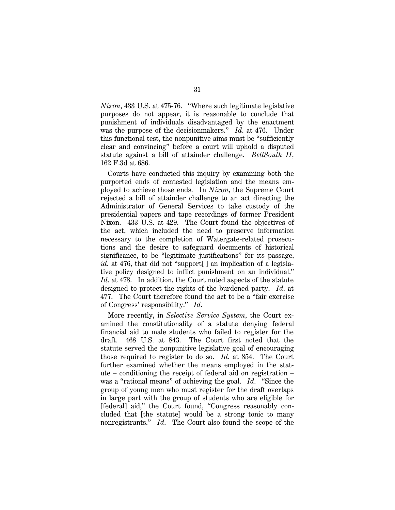*Nixon*, 433 U.S. at 475-76. ''Where such legitimate legislative purposes do not appear, it is reasonable to conclude that punishment of individuals disadvantaged by the enactment was the purpose of the decisionmakers.'' *Id*. at 476. Under this functional test, the nonpunitive aims must be ''sufficiently clear and convincing'' before a court will uphold a disputed statute against a bill of attainder challenge. *BellSouth II*, 162 F.3d at 686.

Courts have conducted this inquiry by examining both the purported ends of contested legislation and the means employed to achieve those ends. In *Nixon*, the Supreme Court rejected a bill of attainder challenge to an act directing the Administrator of General Services to take custody of the presidential papers and tape recordings of former President Nixon. 433 U.S. at 429. The Court found the objectives of the act, which included the need to preserve information necessary to the completion of Watergate-related prosecutions and the desire to safeguard documents of historical significance, to be ''legitimate justifications'' for its passage, *id.* at 476, that did not "support[] an implication of a legislative policy designed to inflict punishment on an individual.'' *Id*. at 478. In addition, the Court noted aspects of the statute designed to protect the rights of the burdened party. *Id*. at 477. The Court therefore found the act to be a ''fair exercise of Congress' responsibility.'' *Id*.

More recently, in *Selective Service System*, the Court examined the constitutionality of a statute denying federal financial aid to male students who failed to register for the draft. 468 U.S. at 843. The Court first noted that the statute served the nonpunitive legislative goal of encouraging those required to register to do so. *Id*. at 854. The Court further examined whether the means employed in the statute – conditioning the receipt of federal aid on registration – was a ''rational means'' of achieving the goal. *Id*. ''Since the group of young men who must register for the draft overlaps in large part with the group of students who are eligible for [federal] aid,'' the Court found, ''Congress reasonably concluded that [the statute] would be a strong tonic to many nonregistrants." *Id.* The Court also found the scope of the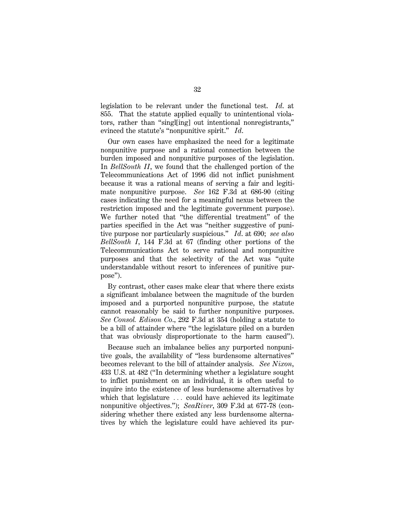legislation to be relevant under the functional test. *Id*. at 855. That the statute applied equally to unintentional violators, rather than ''singl[ing] out intentional nonregistrants,'' evinced the statute's ''nonpunitive spirit.'' *Id*.

Our own cases have emphasized the need for a legitimate nonpunitive purpose and a rational connection between the burden imposed and nonpunitive purposes of the legislation. In *BellSouth II*, we found that the challenged portion of the Telecommunications Act of 1996 did not inflict punishment because it was a rational means of serving a fair and legitimate nonpunitive purpose. *See* 162 F.3d at 686-90 (citing cases indicating the need for a meaningful nexus between the restriction imposed and the legitimate government purpose). We further noted that ''the differential treatment'' of the parties specified in the Act was ''neither suggestive of punitive purpose nor particularly suspicious.'' *Id*. at 690; *see also BellSouth I*, 144 F.3d at 67 (finding other portions of the Telecommunications Act to serve rational and nonpunitive purposes and that the selectivity of the Act was ''quite understandable without resort to inferences of punitive purpose'').

By contrast, other cases make clear that where there exists a significant imbalance between the magnitude of the burden imposed and a purported nonpunitive purpose, the statute cannot reasonably be said to further nonpunitive purposes. *See Consol. Edison Co*., 292 F.3d at 354 (holding a statute to be a bill of attainder where ''the legislature piled on a burden that was obviously disproportionate to the harm caused'').

Because such an imbalance belies any purported nonpunitive goals, the availability of ''less burdensome alternatives'' becomes relevant to the bill of attainder analysis. *See Nixon*, 433 U.S. at 482 (''In determining whether a legislature sought to inflict punishment on an individual, it is often useful to inquire into the existence of less burdensome alternatives by which that legislature  $\ldots$  could have achieved its legitimate nonpunitive objectives."); *SeaRiver*, 309 F.3d at 677-78 (considering whether there existed any less burdensome alternatives by which the legislature could have achieved its pur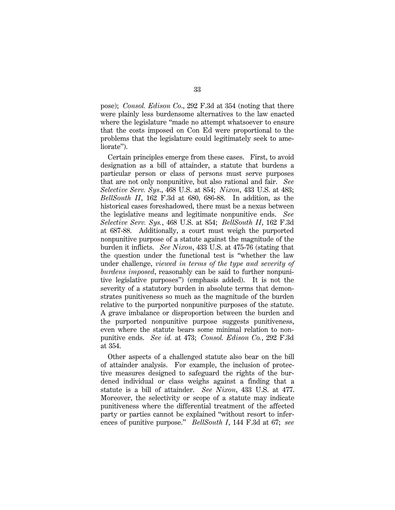pose); *Consol. Edison Co*., 292 F.3d at 354 (noting that there were plainly less burdensome alternatives to the law enacted where the legislature "made no attempt whatsoever to ensure that the costs imposed on Con Ed were proportional to the problems that the legislature could legitimately seek to ameliorate").

Certain principles emerge from these cases. First, to avoid designation as a bill of attainder, a statute that burdens a particular person or class of persons must serve purposes that are not only nonpunitive, but also rational and fair. *See Selective Serv. Sys*., 468 U.S. at 854; *Nixon*, 433 U.S. at 483; *BellSouth II*, 162 F.3d at 680, 686-88. In addition, as the historical cases foreshadowed, there must be a nexus between the legislative means and legitimate nonpunitive ends. *See Selective Serv. Sys.*, 468 U.S. at 854; *BellSouth II*, 162 F.3d at 687-88. Additionally, a court must weigh the purported nonpunitive purpose of a statute against the magnitude of the burden it inflicts. *See Nixon*, 433 U.S. at 475-76 (stating that the question under the functional test is ''whether the law under challenge, *viewed in terms of the type and severity of burdens imposed*, reasonably can be said to further nonpunitive legislative purposes'') (emphasis added). It is not the severity of a statutory burden in absolute terms that demonstrates punitiveness so much as the magnitude of the burden relative to the purported nonpunitive purposes of the statute. A grave imbalance or disproportion between the burden and the purported nonpunitive purpose suggests punitiveness, even where the statute bears some minimal relation to nonpunitive ends. *See id.* at 473; *Consol. Edison Co.*, 292 F.3d at 354.

Other aspects of a challenged statute also bear on the bill of attainder analysis. For example, the inclusion of protective measures designed to safeguard the rights of the burdened individual or class weighs against a finding that a statute is a bill of attainder. *See Nixon*, 433 U.S. at 477. Moreover, the selectivity or scope of a statute may indicate punitiveness where the differential treatment of the affected party or parties cannot be explained ''without resort to inferences of punitive purpose.'' *BellSouth I*, 144 F.3d at 67; *see*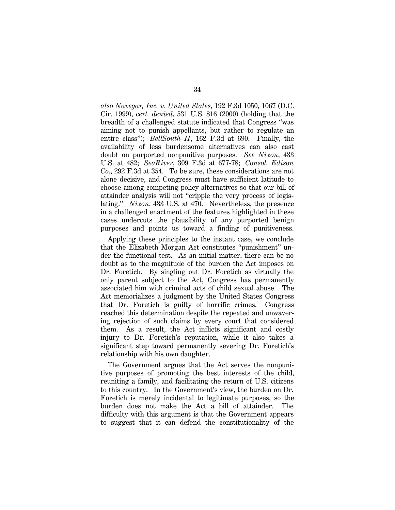*also Navegar, Inc. v. United States*, 192 F.3d 1050, 1067 (D.C. Cir. 1999), *cert. denied*, 531 U.S. 816 (2000) (holding that the breadth of a challenged statute indicated that Congress ''was aiming not to punish appellants, but rather to regulate an entire class''); *BellSouth II*, 162 F.3d at 690. Finally, the availability of less burdensome alternatives can also cast doubt on purported nonpunitive purposes. *See Nixon*, 433 U.S. at 482; *SeaRiver*, 309 F.3d at 677-78; *Consol. Edison Co*., 292 F.3d at 354. To be sure, these considerations are not alone decisive, and Congress must have sufficient latitude to choose among competing policy alternatives so that our bill of attainder analysis will not ''cripple the very process of legislating.'' *Nixon*, 433 U.S. at 470. Nevertheless, the presence in a challenged enactment of the features highlighted in these cases undercuts the plausibility of any purported benign purposes and points us toward a finding of punitiveness.

Applying these principles to the instant case, we conclude that the Elizabeth Morgan Act constitutes ''punishment'' under the functional test. As an initial matter, there can be no doubt as to the magnitude of the burden the Act imposes on Dr. Foretich. By singling out Dr. Foretich as virtually the only parent subject to the Act, Congress has permanently associated him with criminal acts of child sexual abuse. The Act memorializes a judgment by the United States Congress that Dr. Foretich is guilty of horrific crimes. Congress reached this determination despite the repeated and unwavering rejection of such claims by every court that considered them. As a result, the Act inflicts significant and costly injury to Dr. Foretich's reputation, while it also takes a significant step toward permanently severing Dr. Foretich's relationship with his own daughter.

The Government argues that the Act serves the nonpunitive purposes of promoting the best interests of the child, reuniting a family, and facilitating the return of U.S. citizens to this country. In the Government's view, the burden on Dr. Foretich is merely incidental to legitimate purposes, so the burden does not make the Act a bill of attainder. The difficulty with this argument is that the Government appears to suggest that it can defend the constitutionality of the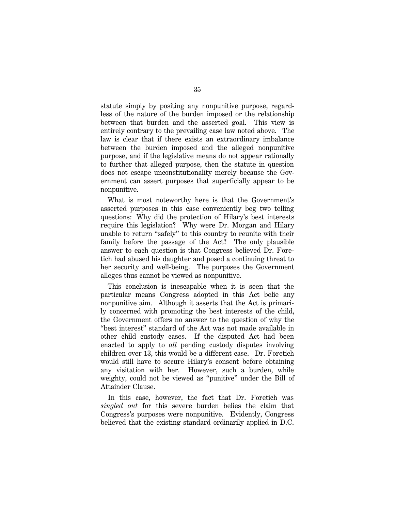statute simply by positing any nonpunitive purpose, regardless of the nature of the burden imposed or the relationship between that burden and the asserted goal. This view is entirely contrary to the prevailing case law noted above. The law is clear that if there exists an extraordinary imbalance between the burden imposed and the alleged nonpunitive purpose, and if the legislative means do not appear rationally to further that alleged purpose, then the statute in question does not escape unconstitutionality merely because the Government can assert purposes that superficially appear to be nonpunitive.

What is most noteworthy here is that the Government's asserted purposes in this case conveniently beg two telling questions: Why did the protection of Hilary's best interests require this legislation? Why were Dr. Morgan and Hilary unable to return ''safely'' to this country to reunite with their family before the passage of the Act? The only plausible answer to each question is that Congress believed Dr. Foretich had abused his daughter and posed a continuing threat to her security and well-being. The purposes the Government alleges thus cannot be viewed as nonpunitive.

This conclusion is inescapable when it is seen that the particular means Congress adopted in this Act belie any nonpunitive aim. Although it asserts that the Act is primarily concerned with promoting the best interests of the child, the Government offers no answer to the question of why the ''best interest'' standard of the Act was not made available in other child custody cases. If the disputed Act had been enacted to apply to *all* pending custody disputes involving children over 13, this would be a different case. Dr. Foretich would still have to secure Hilary's consent before obtaining any visitation with her. However, such a burden, while weighty, could not be viewed as ''punitive'' under the Bill of Attainder Clause.

In this case, however, the fact that Dr. Foretich was *singled out* for this severe burden belies the claim that Congress's purposes were nonpunitive. Evidently, Congress believed that the existing standard ordinarily applied in D.C.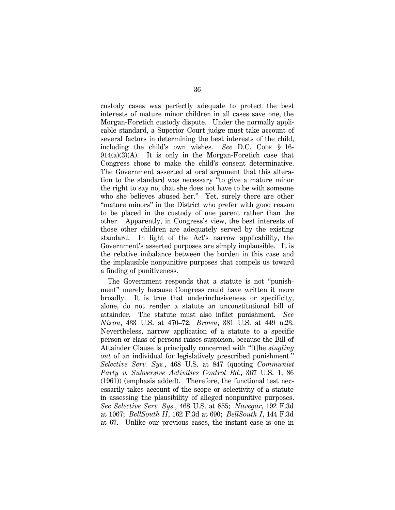custody cases was perfectly adequate to protect the best interests of mature minor children in all cases save one, the Morgan-Foretich custody dispute. Under the normally applicable standard, a Superior Court judge must take account of several factors in determining the best interests of the child, including the child's own wishes. *See* D.C. CODE § 16- 914(a)(3)(A). It is only in the Morgan-Foretich case that Congress chose to make the child's consent determinative. The Government asserted at oral argument that this alteration to the standard was necessary ''to give a mature minor the right to say no, that she does not have to be with someone who she believes abused her.'' Yet, surely there are other ''mature minors'' in the District who prefer with good reason to be placed in the custody of one parent rather than the other. Apparently, in Congress's view, the best interests of those other children are adequately served by the existing standard. In light of the Act's narrow applicability, the Government's asserted purposes are simply implausible. It is the relative imbalance between the burden in this case and the implausible nonpunitive purposes that compels us toward a finding of punitiveness.

The Government responds that a statute is not ''punishment'' merely because Congress could have written it more broadly. It is true that underinclusiveness or specificity, alone, do not render a statute an unconstitutional bill of attainder. The statute must also inflict punishment. *See Nixon*, 433 U.S. at 470–72; *Brown*, 381 U.S. at 449 n.23. Nevertheless, narrow application of a statute to a specific person or class of persons raises suspicion, because the Bill of Attainder Clause is principally concerned with ''[t]he *singling out* of an individual for legislatively prescribed punishment.'' *Selective Serv. Sys.*, 468 U.S. at 847 (quoting *Communist Party v. Subversive Activities Control Bd.*, 367 U.S. 1, 86 (1961)) (emphasis added). Therefore, the functional test necessarily takes account of the scope or selectivity of a statute in assessing the plausibility of alleged nonpunitive purposes. *See Selective Serv. Sys*., 468 U.S. at 855; *Navegar*, 192 F.3d at 1067; *BellSouth II*, 162 F.3d at 690; *BellSouth I*, 144 F.3d at 67. Unlike our previous cases, the instant case is one in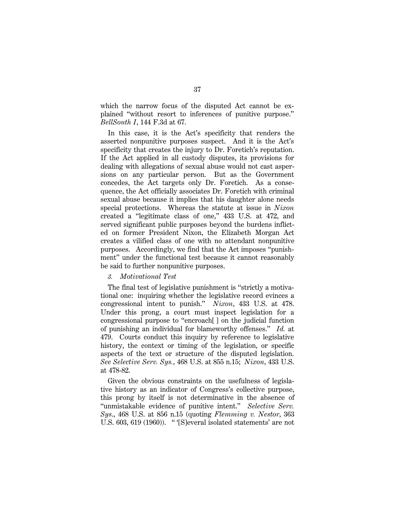which the narrow focus of the disputed Act cannot be explained ''without resort to inferences of punitive purpose.'' *BellSouth I*, 144 F.3d at 67.

In this case, it is the Act's specificity that renders the asserted nonpunitive purposes suspect. And it is the Act's specificity that creates the injury to Dr. Foretich's reputation. If the Act applied in all custody disputes, its provisions for dealing with allegations of sexual abuse would not cast aspersions on any particular person. But as the Government concedes, the Act targets only Dr. Foretich. As a consequence, the Act officially associates Dr. Foretich with criminal sexual abuse because it implies that his daughter alone needs special protections. Whereas the statute at issue in *Nixon* created a ''legitimate class of one,'' 433 U.S. at 472, and served significant public purposes beyond the burdens inflicted on former President Nixon, the Elizabeth Morgan Act creates a vilified class of one with no attendant nonpunitive purposes. Accordingly, we find that the Act imposes ''punishment'' under the functional test because it cannot reasonably be said to further nonpunitive purposes.

#### *3. Motivational Test*

The final test of legislative punishment is "strictly a motivational one: inquiring whether the legislative record evinces a congressional intent to punish.'' *Nixon*, 433 U.S. at 478. Under this prong, a court must inspect legislation for a congressional purpose to ''encroach[ ] on the judicial function of punishing an individual for blameworthy offenses.'' *Id.* at 479. Courts conduct this inquiry by reference to legislative history, the context or timing of the legislation, or specific aspects of the text or structure of the disputed legislation. *See Selective Serv. Sys.*, 468 U.S. at 855 n.15; *Nixon*, 433 U.S. at 478-82.

Given the obvious constraints on the usefulness of legislative history as an indicator of Congress's collective purpose, this prong by itself is not determinative in the absence of ''unmistakable evidence of punitive intent.'' *Selective Serv. Sys*., 468 U.S. at 856 n.15 (quoting *Flemming v. Nestor*, 363 U.S. 603, 619 (1960)). '' '[S]everal isolated statements' are not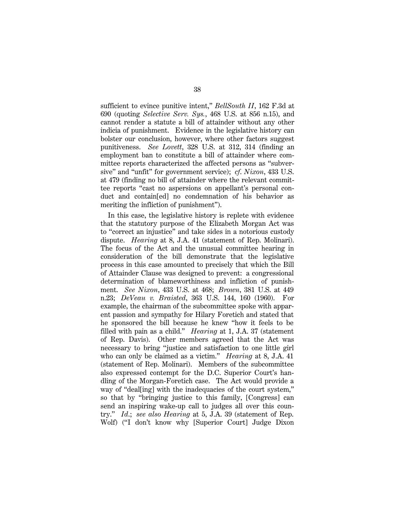sufficient to evince punitive intent,'' *BellSouth II*, 162 F.3d at 690 (quoting *Selective Serv. Sys.*, 468 U.S. at 856 n.15), and cannot render a statute a bill of attainder without any other indicia of punishment. Evidence in the legislative history can bolster our conclusion, however, where other factors suggest punitiveness. *See Lovett*, 328 U.S. at 312, 314 (finding an employment ban to constitute a bill of attainder where committee reports characterized the affected persons as ''subversive'' and ''unfit'' for government service); *cf*. *Nixon*, 433 U.S. at 479 (finding no bill of attainder where the relevant committee reports ''cast no aspersions on appellant's personal conduct and contain[ed] no condemnation of his behavior as meriting the infliction of punishment'').

In this case, the legislative history is replete with evidence that the statutory purpose of the Elizabeth Morgan Act was to ''correct an injustice'' and take sides in a notorious custody dispute. *Hearing* at 8, J.A. 41 (statement of Rep. Molinari). The focus of the Act and the unusual committee hearing in consideration of the bill demonstrate that the legislative process in this case amounted to precisely that which the Bill of Attainder Clause was designed to prevent: a congressional determination of blameworthiness and infliction of punishment. *See Nixon*, 433 U.S. at 468; *Brown*, 381 U.S. at 449 n.23; *DeVeau v. Braisted*, 363 U.S. 144, 160 (1960). For example, the chairman of the subcommittee spoke with apparent passion and sympathy for Hilary Foretich and stated that he sponsored the bill because he knew ''how it feels to be filled with pain as a child.'' *Hearing* at 1, J.A. 37 (statement of Rep. Davis). Other members agreed that the Act was necessary to bring ''justice and satisfaction to one little girl who can only be claimed as a victim.'' *Hearing* at 8, J.A. 41 (statement of Rep. Molinari). Members of the subcommittee also expressed contempt for the D.C. Superior Court's handling of the Morgan-Foretich case. The Act would provide a way of "deal[ing] with the inadequacies of the court system," so that by ''bringing justice to this family, [Congress] can send an inspiring wake-up call to judges all over this country.'' *Id*.; *see also Hearing* at 5, J.A. 39 (statement of Rep. Wolf) (''I don't know why [Superior Court] Judge Dixon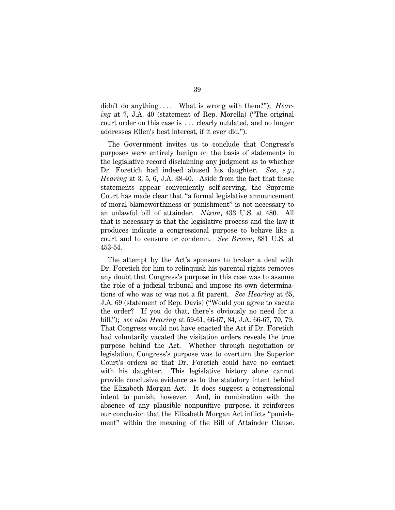didn't do anything.... What is wrong with them?"); *Hearing* at 7, J.A. 40 (statement of Rep. Morella) (''The original court order on this case is ... clearly outdated, and no longer addresses Ellen's best interest, if it ever did.'').

The Government invites us to conclude that Congress's purposes were entirely benign on the basis of statements in the legislative record disclaiming any judgment as to whether Dr. Foretich had indeed abused his daughter. *See*, *e.g.*, *Hearing* at 3, 5, 6, J.A. 38-40. Aside from the fact that these statements appear conveniently self-serving, the Supreme Court has made clear that ''a formal legislative announcement of moral blameworthiness or punishment'' is not necessary to an unlawful bill of attainder. *Nixon*, 433 U.S. at 480. All that is necessary is that the legislative process and the law it produces indicate a congressional purpose to behave like a court and to censure or condemn. *See Brown*, 381 U.S. at 453-54.

The attempt by the Act's sponsors to broker a deal with Dr. Foretich for him to relinquish his parental rights removes any doubt that Congress's purpose in this case was to assume the role of a judicial tribunal and impose its own determinations of who was or was not a fit parent. *See Hearing* at 65, J.A. 69 (statement of Rep. Davis) (''Would you agree to vacate the order? If you do that, there's obviously no need for a bill.''); *see also Hearing* at 59-61, 66-67, 84, J.A. 66-67, 70, 79. That Congress would not have enacted the Act if Dr. Foretich had voluntarily vacated the visitation orders reveals the true purpose behind the Act. Whether through negotiation or legislation, Congress's purpose was to overturn the Superior Court's orders so that Dr. Foretich could have no contact with his daughter. This legislative history alone cannot provide conclusive evidence as to the statutory intent behind the Elizabeth Morgan Act. It does suggest a congressional intent to punish, however. And, in combination with the absence of any plausible nonpunitive purpose, it reinforces our conclusion that the Elizabeth Morgan Act inflicts ''punishment'' within the meaning of the Bill of Attainder Clause.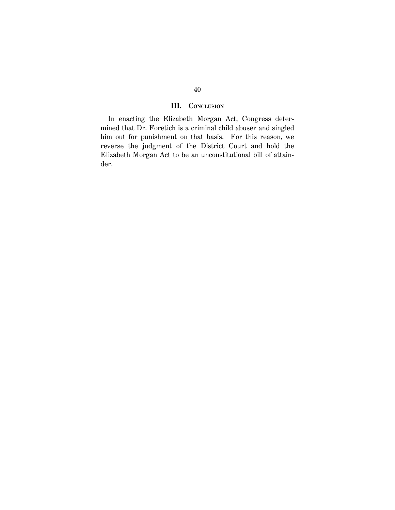# **III. CONCLUSION**

In enacting the Elizabeth Morgan Act, Congress determined that Dr. Foretich is a criminal child abuser and singled him out for punishment on that basis. For this reason, we reverse the judgment of the District Court and hold the Elizabeth Morgan Act to be an unconstitutional bill of attainder.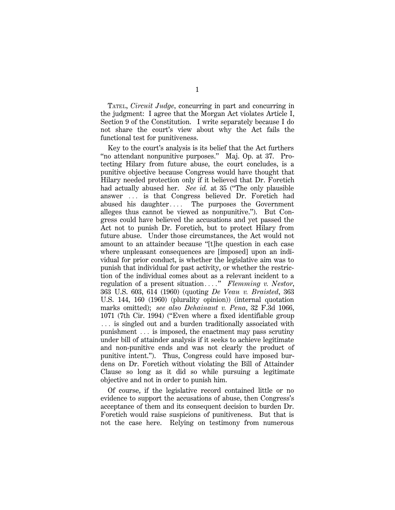TATEL, *Circuit Judge*, concurring in part and concurring in the judgment: I agree that the Morgan Act violates Article I, Section 9 of the Constitution. I write separately because I do not share the court's view about why the Act fails the functional test for punitiveness.

Key to the court's analysis is its belief that the Act furthers "no attendant nonpunitive purposes." Maj. Op. at 37. Protecting Hilary from future abuse, the court concludes, is a punitive objective because Congress would have thought that Hilary needed protection only if it believed that Dr. Foretich had actually abused her. *See id.* at 35 ("The only plausible answer ... is that Congress believed Dr. Foretich had abused his daughter $\ldots$ . The purposes the Government alleges thus cannot be viewed as nonpunitive.''). But Congress could have believed the accusations and yet passed the Act not to punish Dr. Foretich, but to protect Hilary from future abuse. Under those circumstances, the Act would not amount to an attainder because ''[t]he question in each case where unpleasant consequences are [imposed] upon an individual for prior conduct, is whether the legislative aim was to punish that individual for past activity, or whether the restriction of the individual comes about as a relevant incident to a regulation of a present situation...." *Flemming v. Nestor*, 363 U.S. 603, 614 (1960) (quoting *De Veau v. Braisted*, 363 U.S. 144, 160 (1960) (plurality opinion)) (internal quotation marks omitted); *see also Dehainaut v. Pena*, 32 F.3d 1066, 1071 (7th Cir. 1994) (''Even where a fixed identifiable group  $\ldots$  is singled out and a burden traditionally associated with punishment  $\ldots$  is imposed, the enactment may pass scrutiny under bill of attainder analysis if it seeks to achieve legitimate and non-punitive ends and was not clearly the product of punitive intent.''). Thus, Congress could have imposed burdens on Dr. Foretich without violating the Bill of Attainder Clause so long as it did so while pursuing a legitimate objective and not in order to punish him.

Of course, if the legislative record contained little or no evidence to support the accusations of abuse, then Congress's acceptance of them and its consequent decision to burden Dr. Foretich would raise suspicions of punitiveness. But that is not the case here. Relying on testimony from numerous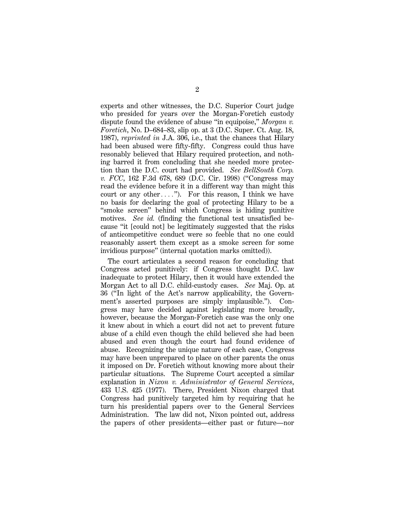experts and other witnesses, the D.C. Superior Court judge who presided for years over the Morgan-Foretich custody dispute found the evidence of abuse ''in equipoise,'' *Morgan v. Foretich*, No. D–684–83, slip op. at 3 (D.C. Super. Ct. Aug. 18, 1987), *reprinted in* J.A. 306, i.e., that the chances that Hilary had been abused were fifty-fifty. Congress could thus have resonably believed that Hilary required protection, and nothing barred it from concluding that she needed more protection than the D.C. court had provided. *See BellSouth Corp. v. FCC*, 162 F.3d 678, 689 (D.C. Cir. 1998) (''Congress may read the evidence before it in a different way than might this court or any other...."). For this reason, I think we have no basis for declaring the goal of protecting Hilary to be a ''smoke screen'' behind which Congress is hiding punitive motives. *See id.* (finding the functional test unsatisfied because ''it [could not] be legitimately suggested that the risks of anticompetitive conduct were so feeble that no one could reasonably assert them except as a smoke screen for some invidious purpose'' (internal quotation marks omitted)).

The court articulates a second reason for concluding that Congress acted punitively: if Congress thought D.C. law inadequate to protect Hilary, then it would have extended the Morgan Act to all D.C. child-custody cases. *See* Maj. Op. at 36 (''In light of the Act's narrow applicability, the Government's asserted purposes are simply implausible.''). Congress may have decided against legislating more broadly, however, because the Morgan-Foretich case was the only one it knew about in which a court did not act to prevent future abuse of a child even though the child believed she had been abused and even though the court had found evidence of abuse. Recognizing the unique nature of each case, Congress may have been unprepared to place on other parents the onus it imposed on Dr. Foretich without knowing more about their particular situations. The Supreme Court accepted a similar explanation in *Nixon v. Administrator of General Services*, 433 U.S. 425 (1977). There, President Nixon charged that Congress had punitively targeted him by requiring that he turn his presidential papers over to the General Services Administration. The law did not, Nixon pointed out, address the papers of other presidents—either past or future—nor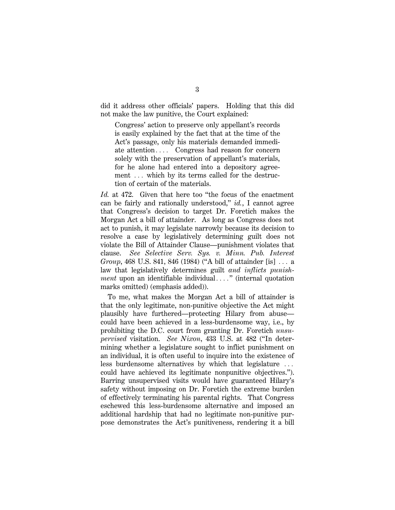did it address other officials' papers. Holding that this did not make the law punitive, the Court explained:

Congress' action to preserve only appellant's records is easily explained by the fact that at the time of the Act's passage, only his materials demanded immediate attention $\ldots$  Congress had reason for concern solely with the preservation of appellant's materials, for he alone had entered into a depository agreement ... which by its terms called for the destruction of certain of the materials.

*Id.* at 472. Given that here too ''the focus of the enactment can be fairly and rationally understood,'' *id.*, I cannot agree that Congress's decision to target Dr. Foretich makes the Morgan Act a bill of attainder. As long as Congress does not act to punish, it may legislate narrowly because its decision to resolve a case by legislatively determining guilt does not violate the Bill of Attainder Clause—punishment violates that clause. *See Selective Serv. Sys. v. Minn. Pub. Interest Group*, 468 U.S. 841, 846 (1984) ("A bill of attainder [is] ... a law that legislatively determines guilt *and inflicts punishment* upon an identifiable individual...." (internal quotation marks omitted) (emphasis added)).

To me, what makes the Morgan Act a bill of attainder is that the only legitimate, non-punitive objective the Act might plausibly have furthered—protecting Hilary from abuse could have been achieved in a less-burdensome way, i.e., by prohibiting the D.C. court from granting Dr. Foretich *unsupervised* visitation. *See Nixon*, 433 U.S. at 482 (''In determining whether a legislature sought to inflict punishment on an individual, it is often useful to inquire into the existence of less burdensome alternatives by which that legislature  $\ldots$ could have achieved its legitimate nonpunitive objectives.''). Barring unsupervised visits would have guaranteed Hilary's safety without imposing on Dr. Foretich the extreme burden of effectively terminating his parental rights. That Congress eschewed this less-burdensome alternative and imposed an additional hardship that had no legitimate non-punitive purpose demonstrates the Act's punitiveness, rendering it a bill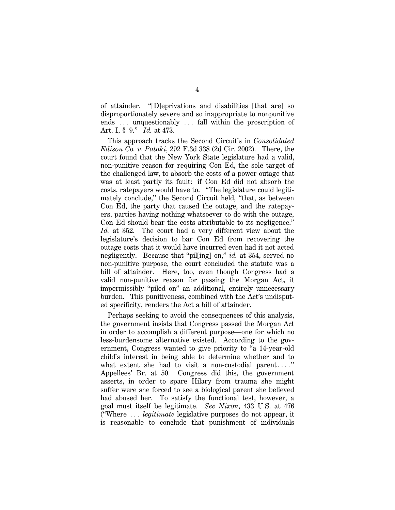of attainder. ''[D]eprivations and disabilities [that are] so disproportionately severe and so inappropriate to nonpunitive ends  $\ldots$  unquestionably  $\ldots$  fall within the proscription of Art. I, § 9.'' *Id.* at 473.

This approach tracks the Second Circuit's in *Consolidated Edison Co. v. Pataki*, 292 F.3d 338 (2d Cir. 2002). There, the court found that the New York State legislature had a valid, non-punitive reason for requiring Con Ed, the sole target of the challenged law, to absorb the costs of a power outage that was at least partly its fault: if Con Ed did not absorb the costs, ratepayers would have to. ''The legislature could legitimately conclude,'' the Second Circuit held, ''that, as between Con Ed, the party that caused the outage, and the ratepayers, parties having nothing whatsoever to do with the outage, Con Ed should bear the costs attributable to its negligence.'' *Id.* at 352. The court had a very different view about the legislature's decision to bar Con Ed from recovering the outage costs that it would have incurred even had it not acted negligently. Because that "pilling] on," *id.* at 354, served no non-punitive purpose, the court concluded the statute was a bill of attainder. Here, too, even though Congress had a valid non-punitive reason for passing the Morgan Act, it impermissibly ''piled on'' an additional, entirely unnecessary burden. This punitiveness, combined with the Act's undisputed specificity, renders the Act a bill of attainder.

Perhaps seeking to avoid the consequences of this analysis, the government insists that Congress passed the Morgan Act in order to accomplish a different purpose—one for which no less-burdensome alternative existed. According to the government, Congress wanted to give priority to "a 14-year-old" child's interest in being able to determine whether and to what extent she had to visit a non-custodial parent...." Appellees' Br. at 50. Congress did this, the government asserts, in order to spare Hilary from trauma she might suffer were she forced to see a biological parent she believed had abused her. To satisfy the functional test, however, a goal must itself be legitimate. *See Nixon*, 433 U.S. at 476 ("Where ... *legitimate* legislative purposes do not appear, it is reasonable to conclude that punishment of individuals